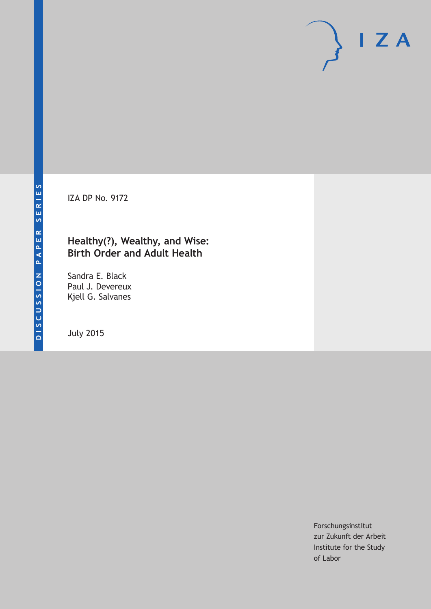IZA DP No. 9172

### **Healthy(?), Wealthy, and Wise: Birth Order and Adult Health**

Sandra E. Black Paul J. Devereux Kjell G. Salvanes

July 2015

Forschungsinstitut zur Zukunft der Arbeit Institute for the Study of Labor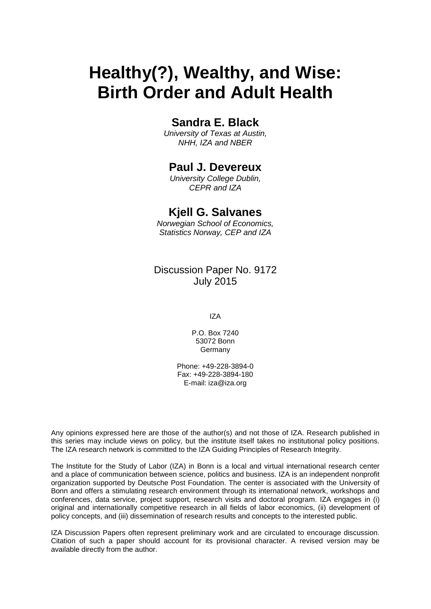# **Healthy(?), Wealthy, and Wise: Birth Order and Adult Health**

## **Sandra E. Black**

*University of Texas at Austin, NHH, IZA and NBER*

### **Paul J. Devereux**

*University College Dublin, CEPR and IZA*

### **Kjell G. Salvanes**

*Norwegian School of Economics, Statistics Norway, CEP and IZA*

Discussion Paper No. 9172 July 2015

IZA

P.O. Box 7240 53072 Bonn Germany

Phone: +49-228-3894-0 Fax: +49-228-3894-180 E-mail: iza@iza.org

Any opinions expressed here are those of the author(s) and not those of IZA. Research published in this series may include views on policy, but the institute itself takes no institutional policy positions. The IZA research network is committed to the IZA Guiding Principles of Research Integrity.

The Institute for the Study of Labor (IZA) in Bonn is a local and virtual international research center and a place of communication between science, politics and business. IZA is an independent nonprofit organization supported by Deutsche Post Foundation. The center is associated with the University of Bonn and offers a stimulating research environment through its international network, workshops and conferences, data service, project support, research visits and doctoral program. IZA engages in (i) original and internationally competitive research in all fields of labor economics, (ii) development of policy concepts, and (iii) dissemination of research results and concepts to the interested public.

<span id="page-1-0"></span>IZA Discussion Papers often represent preliminary work and are circulated to encourage discussion. Citation of such a paper should account for its provisional character. A revised version may be available directly from the author.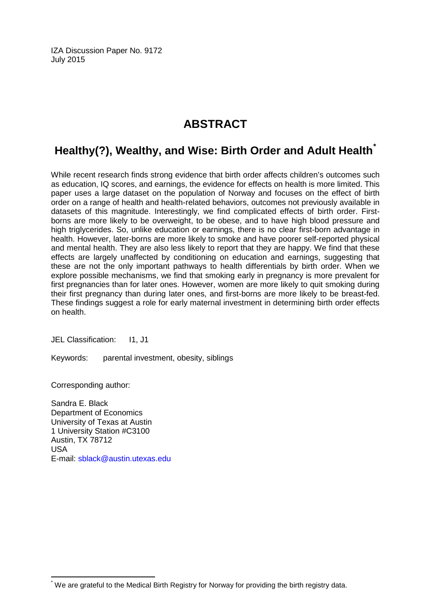IZA Discussion Paper No. 9172 July 2015

## **ABSTRACT**

## **Healthy(?), Wealthy, and Wise: Birth Order and Adult Health[\\*](#page-1-0)**

While recent research finds strong evidence that birth order affects children's outcomes such as education, IQ scores, and earnings, the evidence for effects on health is more limited. This paper uses a large dataset on the population of Norway and focuses on the effect of birth order on a range of health and health-related behaviors, outcomes not previously available in datasets of this magnitude. Interestingly, we find complicated effects of birth order. Firstborns are more likely to be overweight, to be obese, and to have high blood pressure and high triglycerides. So, unlike education or earnings, there is no clear first-born advantage in health. However, later-borns are more likely to smoke and have poorer self-reported physical and mental health. They are also less likely to report that they are happy. We find that these effects are largely unaffected by conditioning on education and earnings, suggesting that these are not the only important pathways to health differentials by birth order. When we explore possible mechanisms, we find that smoking early in pregnancy is more prevalent for first pregnancies than for later ones. However, women are more likely to quit smoking during their first pregnancy than during later ones, and first-borns are more likely to be breast-fed. These findings suggest a role for early maternal investment in determining birth order effects on health.

JEL Classification: I1, J1

Keywords: parental investment, obesity, siblings

Corresponding author:

Sandra E. Black Department of Economics University of Texas at Austin 1 University Station #C3100 Austin, TX 78712 USA E-mail: [sblack@austin.utexas.edu](mailto:sblack@austin.utexas.edu)

\* We are grateful to the Medical Birth Registry for Norway for providing the birth registry data.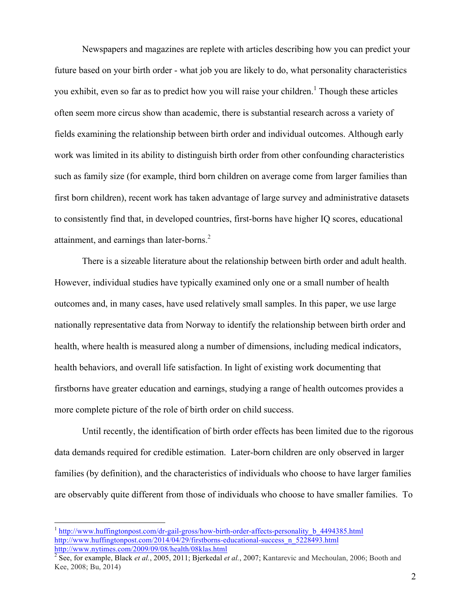Newspapers and magazines are replete with articles describing how you can predict your future based on your birth order - what job you are likely to do, what personality characteristics you exhibit, even so far as to predict how you will raise your children.<sup>1</sup> Though these articles often seem more circus show than academic, there is substantial research across a variety of fields examining the relationship between birth order and individual outcomes. Although early work was limited in its ability to distinguish birth order from other confounding characteristics such as family size (for example, third born children on average come from larger families than first born children), recent work has taken advantage of large survey and administrative datasets to consistently find that, in developed countries, first-borns have higher IQ scores, educational attainment, and earnings than later-borns.<sup>2</sup>

There is a sizeable literature about the relationship between birth order and adult health. However, individual studies have typically examined only one or a small number of health outcomes and, in many cases, have used relatively small samples. In this paper, we use large nationally representative data from Norway to identify the relationship between birth order and health, where health is measured along a number of dimensions, including medical indicators, health behaviors, and overall life satisfaction. In light of existing work documenting that firstborns have greater education and earnings, studying a range of health outcomes provides a more complete picture of the role of birth order on child success.

Until recently, the identification of birth order effects has been limited due to the rigorous data demands required for credible estimation. Later-born children are only observed in larger families (by definition), and the characteristics of individuals who choose to have larger families are observably quite different from those of individuals who choose to have smaller families. To

 <sup>1</sup> http://www.huffingtonpost.com/dr-gail-gross/how-birth-order-affects-personality\_b\_4494385.html http://www.huffingtonpost.com/2014/04/29/firstborns-educational-success\_n\_5228493.html http://www.nytimes.com/2009/09/08/health/08klas.html

<sup>2</sup> See, for example, Black *et al.*, 2005, 2011; Bjerkedal *et al.*, 2007; Kantarevic and Mechoulan, 2006; Booth and Kee, 2008; Bu, 2014)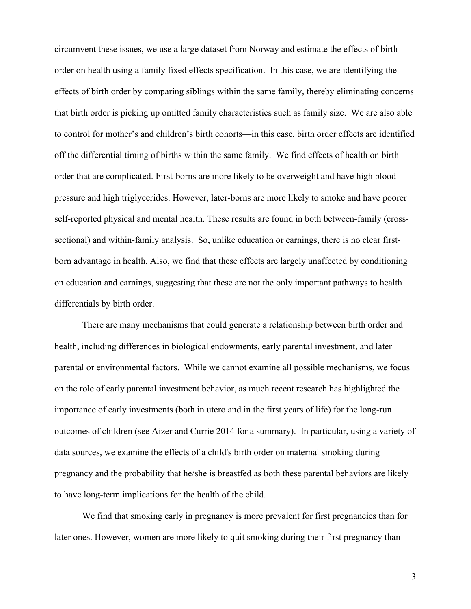circumvent these issues, we use a large dataset from Norway and estimate the effects of birth order on health using a family fixed effects specification. In this case, we are identifying the effects of birth order by comparing siblings within the same family, thereby eliminating concerns that birth order is picking up omitted family characteristics such as family size. We are also able to control for mother's and children's birth cohorts—in this case, birth order effects are identified off the differential timing of births within the same family. We find effects of health on birth order that are complicated. First-borns are more likely to be overweight and have high blood pressure and high triglycerides. However, later-borns are more likely to smoke and have poorer self-reported physical and mental health. These results are found in both between-family (crosssectional) and within-family analysis. So, unlike education or earnings, there is no clear firstborn advantage in health. Also, we find that these effects are largely unaffected by conditioning on education and earnings, suggesting that these are not the only important pathways to health differentials by birth order.

There are many mechanisms that could generate a relationship between birth order and health, including differences in biological endowments, early parental investment, and later parental or environmental factors. While we cannot examine all possible mechanisms, we focus on the role of early parental investment behavior, as much recent research has highlighted the importance of early investments (both in utero and in the first years of life) for the long-run outcomes of children (see Aizer and Currie 2014 for a summary). In particular, using a variety of data sources, we examine the effects of a child's birth order on maternal smoking during pregnancy and the probability that he/she is breastfed as both these parental behaviors are likely to have long-term implications for the health of the child.

We find that smoking early in pregnancy is more prevalent for first pregnancies than for later ones. However, women are more likely to quit smoking during their first pregnancy than

3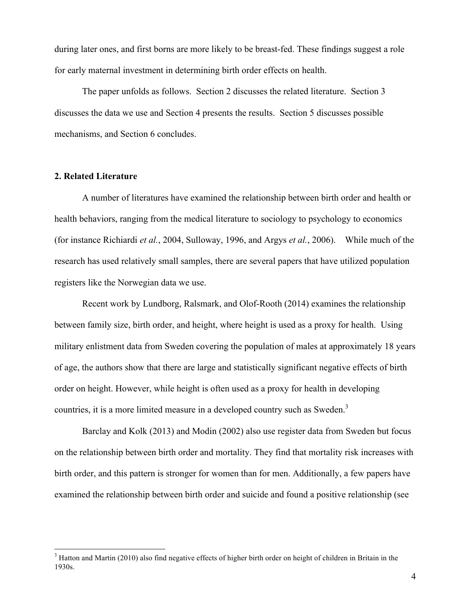during later ones, and first borns are more likely to be breast-fed. These findings suggest a role for early maternal investment in determining birth order effects on health.

The paper unfolds as follows. Section 2 discusses the related literature. Section 3 discusses the data we use and Section 4 presents the results. Section 5 discusses possible mechanisms, and Section 6 concludes.

#### **2. Related Literature**

A number of literatures have examined the relationship between birth order and health or health behaviors, ranging from the medical literature to sociology to psychology to economics (for instance Richiardi *et al.*, 2004, Sulloway, 1996, and Argys *et al.*, 2006). While much of the research has used relatively small samples, there are several papers that have utilized population registers like the Norwegian data we use.

Recent work by Lundborg, Ralsmark, and Olof-Rooth (2014) examines the relationship between family size, birth order, and height, where height is used as a proxy for health. Using military enlistment data from Sweden covering the population of males at approximately 18 years of age, the authors show that there are large and statistically significant negative effects of birth order on height. However, while height is often used as a proxy for health in developing countries, it is a more limited measure in a developed country such as Sweden.<sup>3</sup>

Barclay and Kolk (2013) and Modin (2002) also use register data from Sweden but focus on the relationship between birth order and mortality. They find that mortality risk increases with birth order, and this pattern is stronger for women than for men. Additionally, a few papers have examined the relationship between birth order and suicide and found a positive relationship (see

<sup>&</sup>lt;sup>3</sup> Hatton and Martin (2010) also find negative effects of higher birth order on height of children in Britain in the 1930s.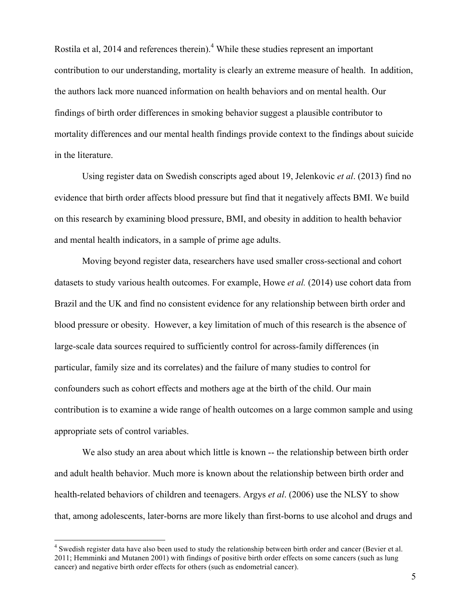Rostila et al, 2014 and references therein).<sup>4</sup> While these studies represent an important contribution to our understanding, mortality is clearly an extreme measure of health. In addition, the authors lack more nuanced information on health behaviors and on mental health. Our findings of birth order differences in smoking behavior suggest a plausible contributor to mortality differences and our mental health findings provide context to the findings about suicide in the literature.

Using register data on Swedish conscripts aged about 19, Jelenkovic *et al*. (2013) find no evidence that birth order affects blood pressure but find that it negatively affects BMI. We build on this research by examining blood pressure, BMI, and obesity in addition to health behavior and mental health indicators, in a sample of prime age adults.

Moving beyond register data, researchers have used smaller cross-sectional and cohort datasets to study various health outcomes. For example, Howe *et al.* (2014) use cohort data from Brazil and the UK and find no consistent evidence for any relationship between birth order and blood pressure or obesity. However, a key limitation of much of this research is the absence of large-scale data sources required to sufficiently control for across-family differences (in particular, family size and its correlates) and the failure of many studies to control for confounders such as cohort effects and mothers age at the birth of the child. Our main contribution is to examine a wide range of health outcomes on a large common sample and using appropriate sets of control variables.

We also study an area about which little is known -- the relationship between birth order and adult health behavior. Much more is known about the relationship between birth order and health-related behaviors of children and teenagers. Argys *et al*. (2006) use the NLSY to show that, among adolescents, later-borns are more likely than first-borns to use alcohol and drugs and

<sup>&</sup>lt;sup>4</sup> Swedish register data have also been used to study the relationship between birth order and cancer (Bevier et al. 2011; Hemminki and Mutanen 2001) with findings of positive birth order effects on some cancers (such as lung cancer) and negative birth order effects for others (such as endometrial cancer).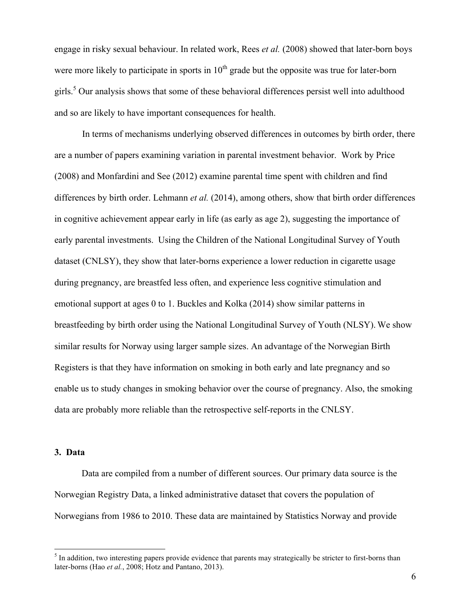engage in risky sexual behaviour. In related work, Rees *et al.* (2008) showed that later-born boys were more likely to participate in sports in  $10<sup>th</sup>$  grade but the opposite was true for later-born girls.5 Our analysis shows that some of these behavioral differences persist well into adulthood and so are likely to have important consequences for health.

In terms of mechanisms underlying observed differences in outcomes by birth order, there are a number of papers examining variation in parental investment behavior. Work by Price (2008) and Monfardini and See (2012) examine parental time spent with children and find differences by birth order. Lehmann *et al.* (2014), among others, show that birth order differences in cognitive achievement appear early in life (as early as age 2), suggesting the importance of early parental investments. Using the Children of the National Longitudinal Survey of Youth dataset (CNLSY), they show that later-borns experience a lower reduction in cigarette usage during pregnancy, are breastfed less often, and experience less cognitive stimulation and emotional support at ages 0 to 1. Buckles and Kolka (2014) show similar patterns in breastfeeding by birth order using the National Longitudinal Survey of Youth (NLSY). We show similar results for Norway using larger sample sizes. An advantage of the Norwegian Birth Registers is that they have information on smoking in both early and late pregnancy and so enable us to study changes in smoking behavior over the course of pregnancy. Also, the smoking data are probably more reliable than the retrospective self-reports in the CNLSY.

#### **3. Data**

Data are compiled from a number of different sources. Our primary data source is the Norwegian Registry Data, a linked administrative dataset that covers the population of Norwegians from 1986 to 2010. These data are maintained by Statistics Norway and provide

<sup>&</sup>lt;sup>5</sup> In addition, two interesting papers provide evidence that parents may strategically be stricter to first-borns than later-borns (Hao *et al.*, 2008; Hotz and Pantano, 2013).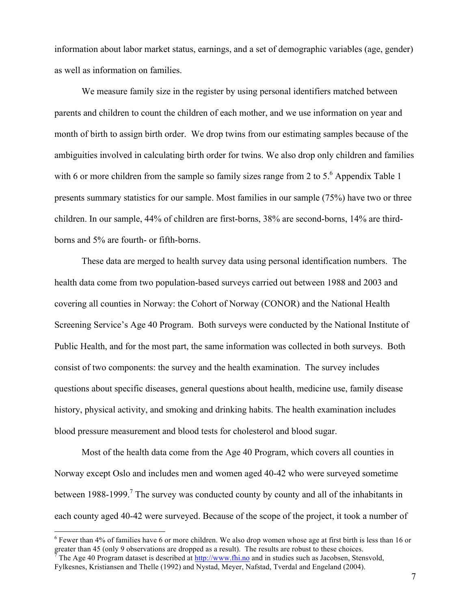information about labor market status, earnings, and a set of demographic variables (age, gender) as well as information on families.

We measure family size in the register by using personal identifiers matched between parents and children to count the children of each mother, and we use information on year and month of birth to assign birth order. We drop twins from our estimating samples because of the ambiguities involved in calculating birth order for twins. We also drop only children and families with 6 or more children from the sample so family sizes range from 2 to  $5<sup>6</sup>$  Appendix Table 1 presents summary statistics for our sample. Most families in our sample (75%) have two or three children. In our sample, 44% of children are first-borns, 38% are second-borns, 14% are thirdborns and 5% are fourth- or fifth-borns.

These data are merged to health survey data using personal identification numbers. The health data come from two population-based surveys carried out between 1988 and 2003 and covering all counties in Norway: the Cohort of Norway (CONOR) and the National Health Screening Service's Age 40 Program. Both surveys were conducted by the National Institute of Public Health, and for the most part, the same information was collected in both surveys. Both consist of two components: the survey and the health examination. The survey includes questions about specific diseases, general questions about health, medicine use, family disease history, physical activity, and smoking and drinking habits. The health examination includes blood pressure measurement and blood tests for cholesterol and blood sugar.

Most of the health data come from the Age 40 Program, which covers all counties in Norway except Oslo and includes men and women aged 40-42 who were surveyed sometime between 1988-1999.<sup>7</sup> The survey was conducted county by county and all of the inhabitants in each county aged 40-42 were surveyed. Because of the scope of the project, it took a number of

 <sup>6</sup> Fewer than 4% of families have 6 or more children. We also drop women whose age at first birth is less than 16 or greater than 45 (only 9 observations are dropped as a result). The results are robust to these choices.

<sup>7</sup> The Age 40 Program dataset is described at http://www.fhi.no and in studies such as Jacobsen, Stensvold, Fylkesnes, Kristiansen and Thelle (1992) and Nystad, Meyer, Nafstad, Tverdal and Engeland (2004).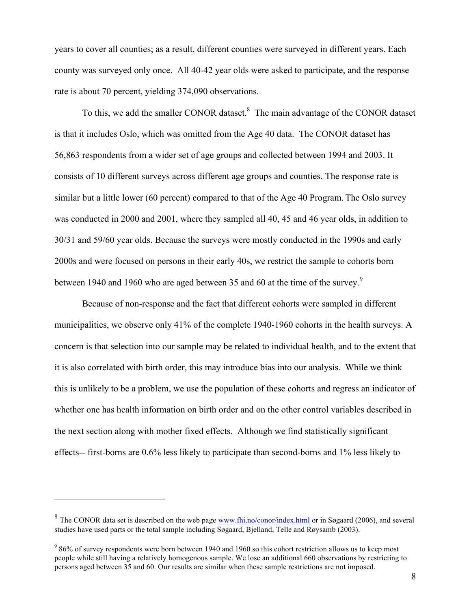years to cover all counties; as a result, different counties were surveyed in different years. Each county was surveyed only once. All 40-42 year olds were asked to participate, and the response rate is about 70 percent, yielding 374,090 observations.

To this, we add the smaller CONOR dataset.<sup>8</sup> The main advantage of the CONOR dataset is that it includes Oslo, which was omitted from the Age 40 data. The CONOR dataset has 56,863 respondents from a wider set of age groups and collected between 1994 and 2003. It consists of 10 different surveys across different age groups and counties. The response rate is similar but a little lower (60 percent) compared to that of the Age 40 Program. The Oslo survey was conducted in 2000 and 2001, where they sampled all 40, 45 and 46 year olds, in addition to 30/31 and 59/60 year olds. Because the surveys were mostly conducted in the 1990s and early 2000s and were focused on persons in their early 40s, we restrict the sample to cohorts born between 1940 and 1960 who are aged between 35 and 60 at the time of the survey.<sup>9</sup>

Because of non-response and the fact that different cohorts were sampled in different municipalities, we observe only 41% of the complete 1940-1960 cohorts in the health surveys. A concern is that selection into our sample may be related to individual health, and to the extent that it is also correlated with birth order, this may introduce bias into our analysis. While we think this is unlikely to be a problem, we use the population of these cohorts and regress an indicator of whether one has health information on birth order and on the other control variables described in the next section along with mother fixed effects. Although we find statistically significant effects-- first-borns are 0.6% less likely to participate than second-borns and 1% less likely to

 $\overline{a}$ 

<sup>&</sup>lt;sup>8</sup> The CONOR data set is described on the web page www.fhi.no/conor/index.html or in Søgaard (2006), and several studies have used parts or the total sample including Søgaard, Bjelland, Telle and Røysamb (2003).

<sup>&</sup>lt;sup>9</sup> 86% of survey respondents were born between 1940 and 1960 so this cohort restriction allows us to keep most people while still having a relatively homogenous sample. We lose an additional 660 observations by restricting to persons aged between 35 and 60. Our results are similar when these sample restrictions are not imposed.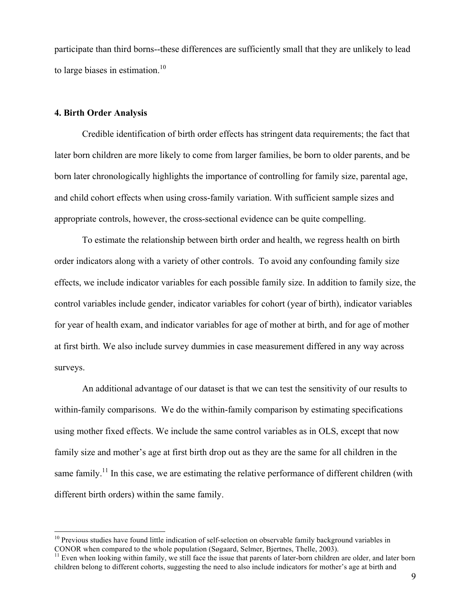participate than third borns--these differences are sufficiently small that they are unlikely to lead to large biases in estimation. $10$ 

#### **4. Birth Order Analysis**

Credible identification of birth order effects has stringent data requirements; the fact that later born children are more likely to come from larger families, be born to older parents, and be born later chronologically highlights the importance of controlling for family size, parental age, and child cohort effects when using cross-family variation. With sufficient sample sizes and appropriate controls, however, the cross-sectional evidence can be quite compelling.

To estimate the relationship between birth order and health, we regress health on birth order indicators along with a variety of other controls. To avoid any confounding family size effects, we include indicator variables for each possible family size. In addition to family size, the control variables include gender, indicator variables for cohort (year of birth), indicator variables for year of health exam, and indicator variables for age of mother at birth, and for age of mother at first birth. We also include survey dummies in case measurement differed in any way across surveys.

An additional advantage of our dataset is that we can test the sensitivity of our results to within-family comparisons. We do the within-family comparison by estimating specifications using mother fixed effects. We include the same control variables as in OLS, except that now family size and mother's age at first birth drop out as they are the same for all children in the same family.<sup>11</sup> In this case, we are estimating the relative performance of different children (with different birth orders) within the same family.

 $10$  Previous studies have found little indication of self-selection on observable family background variables in CONOR when compared to the whole population (Søgaard, Selmer, Bjertnes, Thelle, 2003).<br><sup>11</sup> Even when looking within family, we still face the issue that parents of later-born children are older, and later born

children belong to different cohorts, suggesting the need to also include indicators for mother's age at birth and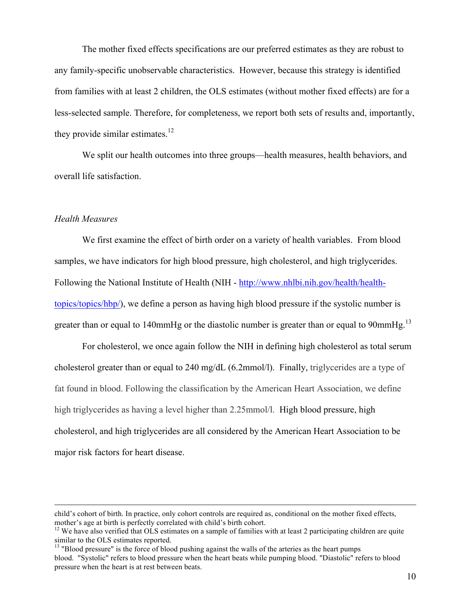The mother fixed effects specifications are our preferred estimates as they are robust to any family-specific unobservable characteristics. However, because this strategy is identified from families with at least 2 children, the OLS estimates (without mother fixed effects) are for a less-selected sample. Therefore, for completeness, we report both sets of results and, importantly, they provide similar estimates.<sup>12</sup>

We split our health outcomes into three groups—health measures, health behaviors, and overall life satisfaction.

#### *Health Measures*

We first examine the effect of birth order on a variety of health variables.From blood samples, we have indicators for high blood pressure, high cholesterol, and high triglycerides. Following the National Institute of Health (NIH - http://www.nhlbi.nih.gov/health/healthtopics/topics/hbp/), we define a person as having high blood pressure if the systolic number is greater than or equal to 140mmHg or the diastolic number is greater than or equal to 90mmHg.<sup>13</sup>

For cholesterol, we once again follow the NIH in defining high cholesterol as total serum cholesterol greater than or equal to 240 mg/dL (6.2mmol/l). Finally, triglycerides are a type of fat found in blood. Following the classification by the American Heart Association, we define high triglycerides as having a level higher than 2.25mmol/l. High blood pressure, high cholesterol, and high triglycerides are all considered by the American Heart Association to be major risk factors for heart disease.

child's cohort of birth. In practice, only cohort controls are required as, conditional on the mother fixed effects, mother's age at birth is perfectly correlated with child's birth cohort.<br><sup>12</sup> We have also verified that OLS estimates on a sample of families with at least 2 participating children are quite

similar to the OLS estimates reported.

<sup>&</sup>lt;sup>13</sup> "Blood pressure" is the force of blood pushing against the walls of the arteries as the heart pumps blood. "Systolic" refers to blood pressure when the heart beats while pumping blood. "Diastolic" refers to blood pressure when the heart is at rest between beats.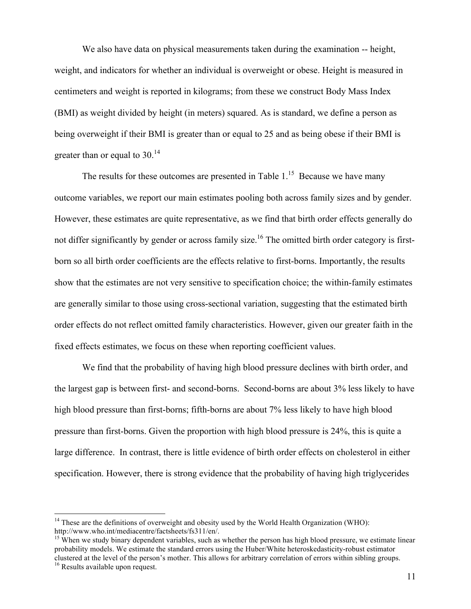We also have data on physical measurements taken during the examination -- height, weight, and indicators for whether an individual is overweight or obese. Height is measured in centimeters and weight is reported in kilograms; from these we construct Body Mass Index (BMI) as weight divided by height (in meters) squared. As is standard, we define a person as being overweight if their BMI is greater than or equal to 25 and as being obese if their BMI is greater than or equal to  $30<sup>14</sup>$ 

The results for these outcomes are presented in Table  $1<sup>15</sup>$  Because we have many outcome variables, we report our main estimates pooling both across family sizes and by gender. However, these estimates are quite representative, as we find that birth order effects generally do not differ significantly by gender or across family size.<sup>16</sup> The omitted birth order category is firstborn so all birth order coefficients are the effects relative to first-borns. Importantly, the results show that the estimates are not very sensitive to specification choice; the within-family estimates are generally similar to those using cross-sectional variation, suggesting that the estimated birth order effects do not reflect omitted family characteristics. However, given our greater faith in the fixed effects estimates, we focus on these when reporting coefficient values.

We find that the probability of having high blood pressure declines with birth order, and the largest gap is between first- and second-borns. Second-borns are about 3% less likely to have high blood pressure than first-borns; fifth-borns are about 7% less likely to have high blood pressure than first-borns. Given the proportion with high blood pressure is 24%, this is quite a large difference. In contrast, there is little evidence of birth order effects on cholesterol in either specification. However, there is strong evidence that the probability of having high triglycerides

 $14$  These are the definitions of overweight and obesity used by the World Health Organization (WHO): http://www.who.int/mediacentre/factsheets/fs311/en/.<br><sup>15</sup> When we study binary dependent variables, such as whether the person has high blood pressure, we estimate linear

probability models. We estimate the standard errors using the Huber/White heteroskedasticity-robust estimator clustered at the level of the person's mother. This allows for arbitrary correlation of errors within sibling groups. <sup>16</sup> Results available upon request.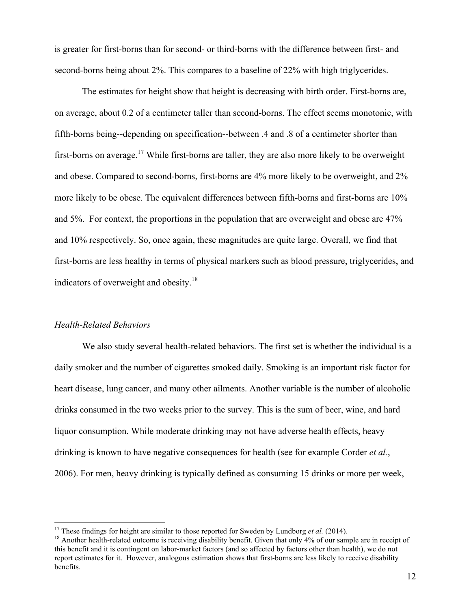is greater for first-borns than for second- or third-borns with the difference between first- and second-borns being about 2%. This compares to a baseline of 22% with high triglycerides.

The estimates for height show that height is decreasing with birth order. First-borns are, on average, about 0.2 of a centimeter taller than second-borns. The effect seems monotonic, with fifth-borns being--depending on specification--between .4 and .8 of a centimeter shorter than first-borns on average.<sup>17</sup> While first-borns are taller, they are also more likely to be overweight and obese. Compared to second-borns, first-borns are 4% more likely to be overweight, and 2% more likely to be obese. The equivalent differences between fifth-borns and first-borns are 10% and 5%. For context, the proportions in the population that are overweight and obese are 47% and 10% respectively. So, once again, these magnitudes are quite large. Overall, we find that first-borns are less healthy in terms of physical markers such as blood pressure, triglycerides, and indicators of overweight and obesity.<sup>18</sup>

#### *Health-Related Behaviors*

We also study several health-related behaviors. The first set is whether the individual is a daily smoker and the number of cigarettes smoked daily. Smoking is an important risk factor for heart disease, lung cancer, and many other ailments. Another variable is the number of alcoholic drinks consumed in the two weeks prior to the survey. This is the sum of beer, wine, and hard liquor consumption. While moderate drinking may not have adverse health effects, heavy drinking is known to have negative consequences for health (see for example Corder *et al.*, 2006). For men, heavy drinking is typically defined as consuming 15 drinks or more per week,

<sup>&</sup>lt;sup>17</sup> These findings for height are similar to those reported for Sweden by Lundborg *et al.* (2014).<br><sup>18</sup> Another health-related outcome is receiving disability benefit. Given that only 4% of our sample are in receipt of this benefit and it is contingent on labor-market factors (and so affected by factors other than health), we do not report estimates for it. However, analogous estimation shows that first-borns are less likely to receive disability benefits.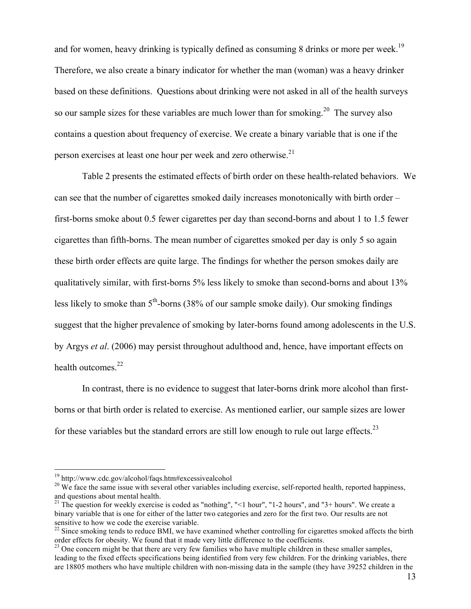and for women, heavy drinking is typically defined as consuming 8 drinks or more per week.<sup>19</sup> Therefore, we also create a binary indicator for whether the man (woman) was a heavy drinker based on these definitions. Questions about drinking were not asked in all of the health surveys so our sample sizes for these variables are much lower than for smoking.<sup>20</sup> The survey also contains a question about frequency of exercise. We create a binary variable that is one if the person exercises at least one hour per week and zero otherwise.<sup>21</sup>

Table 2 presents the estimated effects of birth order on these health-related behaviors. We can see that the number of cigarettes smoked daily increases monotonically with birth order – first-borns smoke about 0.5 fewer cigarettes per day than second-borns and about 1 to 1.5 fewer cigarettes than fifth-borns. The mean number of cigarettes smoked per day is only 5 so again these birth order effects are quite large. The findings for whether the person smokes daily are qualitatively similar, with first-borns 5% less likely to smoke than second-borns and about 13% less likely to smoke than  $5<sup>th</sup>$ -borns (38% of our sample smoke daily). Our smoking findings suggest that the higher prevalence of smoking by later-borns found among adolescents in the U.S. by Argys *et al*. (2006) may persist throughout adulthood and, hence, have important effects on health outcomes.<sup>22</sup>

In contrast, there is no evidence to suggest that later-borns drink more alcohol than firstborns or that birth order is related to exercise. As mentioned earlier, our sample sizes are lower for these variables but the standard errors are still low enough to rule out large effects.<sup>23</sup>

<sup>&</sup>lt;sup>19</sup> http://www.cdc.gov/alcohol/faqs.htm#excessivealcohol<br><sup>20</sup> We face the same issue with several other variables including exercise, self-reported health, reported happiness, and questions about mental health.

<sup>&</sup>lt;sup>21</sup> The question for weekly exercise is coded as "nothing", " $\lt 1$  hour", "1-2 hours", and "3+ hours". We create a binary variable that is one for either of the latter two categories and zero for the first two. Our results are not sensitive to how we code the exercise variable.

 $22$  Since smoking tends to reduce BMI, we have examined whether controlling for cigarettes smoked affects the birth order effects for obesity. We found that it made very little difference to the coefficients.

<sup>&</sup>lt;sup>23</sup> One concern might be that there are very few families who have multiple children in these smaller samples, leading to the fixed effects specifications being identified from very few children. For the drinking variables, there are 18805 mothers who have multiple children with non-missing data in the sample (they have 39252 children in the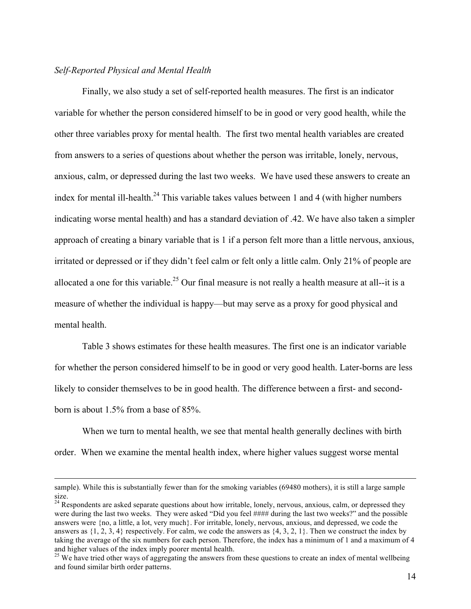#### *Self-Reported Physical and Mental Health*

1

Finally, we also study a set of self-reported health measures. The first is an indicator variable for whether the person considered himself to be in good or very good health, while the other three variables proxy for mental health. The first two mental health variables are created from answers to a series of questions about whether the person was irritable, lonely, nervous, anxious, calm, or depressed during the last two weeks. We have used these answers to create an index for mental ill-health.<sup>24</sup> This variable takes values between 1 and 4 (with higher numbers indicating worse mental health) and has a standard deviation of .42. We have also taken a simpler approach of creating a binary variable that is 1 if a person felt more than a little nervous, anxious, irritated or depressed or if they didn't feel calm or felt only a little calm. Only 21% of people are allocated a one for this variable.<sup>25</sup> Our final measure is not really a health measure at all--it is a measure of whether the individual is happy—but may serve as a proxy for good physical and mental health.

Table 3 shows estimates for these health measures. The first one is an indicator variable for whether the person considered himself to be in good or very good health. Later-borns are less likely to consider themselves to be in good health. The difference between a first- and secondborn is about 1.5% from a base of 85%.

When we turn to mental health, we see that mental health generally declines with birth order. When we examine the mental health index, where higher values suggest worse mental

sample). While this is substantially fewer than for the smoking variables (69480 mothers), it is still a large sample size.

<sup>&</sup>lt;sup>24</sup> Respondents are asked separate questions about how irritable, lonely, nervous, anxious, calm, or depressed they were during the last two weeks. They were asked "Did you feel #### during the last two weeks?" and the possible answers were {no, a little, a lot, very much}. For irritable, lonely, nervous, anxious, and depressed, we code the answers as  $\{1, 2, 3, 4\}$  respectively. For calm, we code the answers as  $\{4, 3, 2, 1\}$ . Then we construct the index by taking the average of the six numbers for each person. Therefore, the index has a minimum of 1 and a maximum of 4 and higher values of the index imply poorer mental health.

<sup>&</sup>lt;sup>25</sup> We have tried other ways of aggregating the answers from these questions to create an index of mental wellbeing and found similar birth order patterns.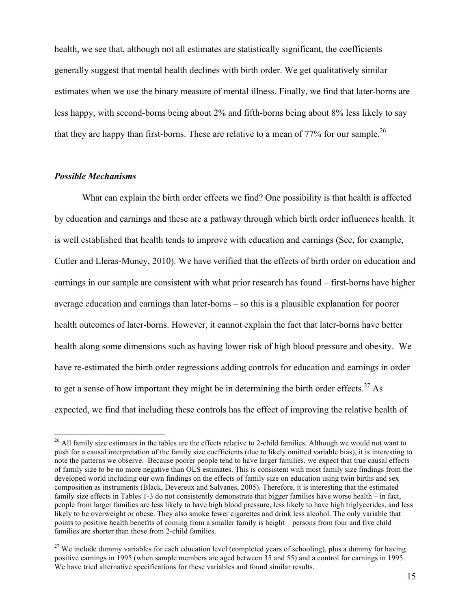health, we see that, although not all estimates are statistically significant, the coefficients generally suggest that mental health declines with birth order. We get qualitatively similar estimates when we use the binary measure of mental illness. Finally, we find that later-borns are less happy, with second-borns being about 2% and fifth-borns being about 8% less likely to say that they are happy than first-borns. These are relative to a mean of  $77\%$  for our sample.<sup>26</sup>

#### *Possible Mechanisms*

What can explain the birth order effects we find? One possibility is that health is affected by education and earnings and these are a pathway through which birth order influences health. It is well established that health tends to improve with education and earnings (See, for example, Cutler and Lleras-Muney, 2010). We have verified that the effects of birth order on education and earnings in our sample are consistent with what prior research has found – first-borns have higher average education and earnings than later-borns – so this is a plausible explanation for poorer health outcomes of later-borns. However, it cannot explain the fact that later-borns have better health along some dimensions such as having lower risk of high blood pressure and obesity. We have re-estimated the birth order regressions adding controls for education and earnings in order to get a sense of how important they might be in determining the birth order effects.<sup>27</sup> As expected, we find that including these controls has the effect of improving the relative health of

<sup>&</sup>lt;sup>26</sup> All family size estimates in the tables are the effects relative to 2-child families. Although we would not want to push for a causal interpretation of the family size coefficients (due to likely omitted variable bias), it is interesting to note the patterns we observe. Because poorer people tend to have larger families, we expect that true causal effects of family size to be no more negative than OLS estimates. This is consistent with most family size findings from the developed world including our own findings on the effects of family size on education using twin births and sex composition as instruments (Black, Devereux and Salvanes, 2005). Therefore, it is interesting that the estimated family size effects in Tables 1-3 do not consistently demonstrate that bigger families have worse health – in fact, people from larger families are less likely to have high blood pressure, less likely to have high triglycerides, and less likely to be overweight or obese. They also smoke fewer cigarettes and drink less alcohol. The only variable that points to positive health benefits of coming from a smaller family is height – persons from four and five child families are shorter than those from 2-child families.

 $27$  We include dummy variables for each education level (completed years of schooling), plus a dummy for having positive earnings in 1995 (when sample members are aged between 35 and 55) and a control for earnings in 1995. We have tried alternative specifications for these variables and found similar results.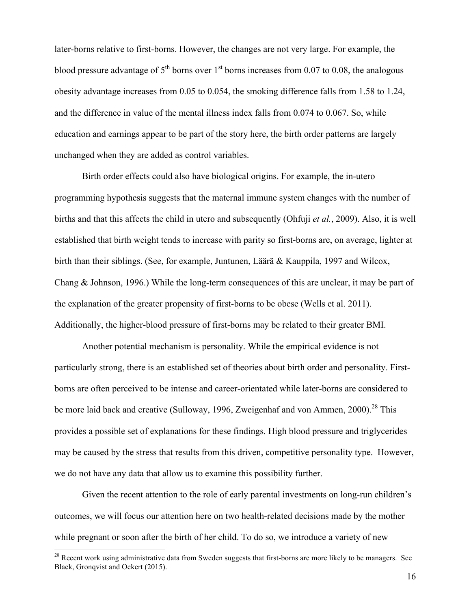later-borns relative to first-borns. However, the changes are not very large. For example, the blood pressure advantage of  $5<sup>th</sup>$  borns over  $1<sup>st</sup>$  borns increases from 0.07 to 0.08, the analogous obesity advantage increases from 0.05 to 0.054, the smoking difference falls from 1.58 to 1.24, and the difference in value of the mental illness index falls from 0.074 to 0.067. So, while education and earnings appear to be part of the story here, the birth order patterns are largely unchanged when they are added as control variables.

Birth order effects could also have biological origins. For example, the in-utero programming hypothesis suggests that the maternal immune system changes with the number of births and that this affects the child in utero and subsequently (Ohfuji *et al.*, 2009). Also, it is well established that birth weight tends to increase with parity so first-borns are, on average, lighter at birth than their siblings. (See, for example, Juntunen, Läärä & Kauppila, 1997 and Wilcox, Chang & Johnson, 1996.) While the long-term consequences of this are unclear, it may be part of the explanation of the greater propensity of first-borns to be obese (Wells et al. 2011). Additionally, the higher-blood pressure of first-borns may be related to their greater BMI.

Another potential mechanism is personality. While the empirical evidence is not particularly strong, there is an established set of theories about birth order and personality. Firstborns are often perceived to be intense and career-orientated while later-borns are considered to be more laid back and creative (Sulloway, 1996, Zweigenhaf and von Ammen, 2000).<sup>28</sup> This provides a possible set of explanations for these findings. High blood pressure and triglycerides may be caused by the stress that results from this driven, competitive personality type. However, we do not have any data that allow us to examine this possibility further.

Given the recent attention to the role of early parental investments on long-run children's outcomes, we will focus our attention here on two health-related decisions made by the mother while pregnant or soon after the birth of her child. To do so, we introduce a variety of new

<sup>&</sup>lt;sup>28</sup> Recent work using administrative data from Sweden suggests that first-borns are more likely to be managers. See Black, Gronqvist and Ockert (2015).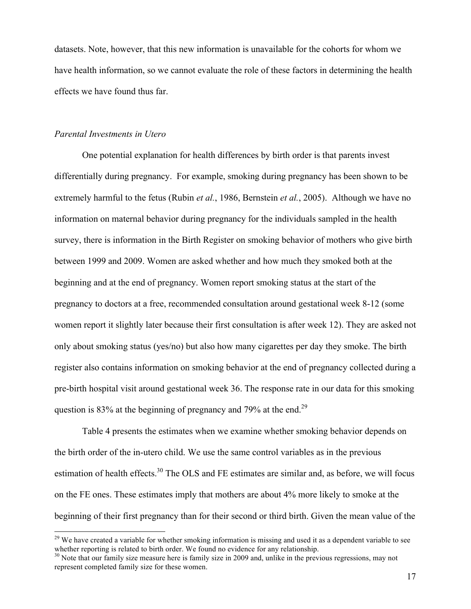datasets. Note, however, that this new information is unavailable for the cohorts for whom we have health information, so we cannot evaluate the role of these factors in determining the health effects we have found thus far.

#### *Parental Investments in Utero*

One potential explanation for health differences by birth order is that parents invest differentially during pregnancy. For example, smoking during pregnancy has been shown to be extremely harmful to the fetus (Rubin *et al.*, 1986, Bernstein *et al.*, 2005). Although we have no information on maternal behavior during pregnancy for the individuals sampled in the health survey, there is information in the Birth Register on smoking behavior of mothers who give birth between 1999 and 2009. Women are asked whether and how much they smoked both at the beginning and at the end of pregnancy. Women report smoking status at the start of the pregnancy to doctors at a free, recommended consultation around gestational week 8-12 (some women report it slightly later because their first consultation is after week 12). They are asked not only about smoking status (yes/no) but also how many cigarettes per day they smoke. The birth register also contains information on smoking behavior at the end of pregnancy collected during a pre-birth hospital visit around gestational week 36. The response rate in our data for this smoking question is 83% at the beginning of pregnancy and 79% at the end.<sup>29</sup>

Table 4 presents the estimates when we examine whether smoking behavior depends on the birth order of the in-utero child. We use the same control variables as in the previous estimation of health effects.<sup>30</sup> The OLS and FE estimates are similar and, as before, we will focus on the FE ones. These estimates imply that mothers are about 4% more likely to smoke at the beginning of their first pregnancy than for their second or third birth. Given the mean value of the

 $29$  We have created a variable for whether smoking information is missing and used it as a dependent variable to see whether reporting is related to birth order. We found no evidence for any relationship.

 $30$  Note that our family size measure here is family size in 2009 and, unlike in the previous regressions, may not represent completed family size for these women.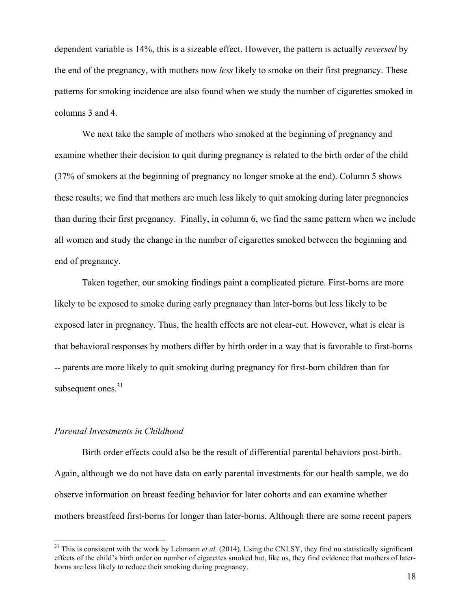dependent variable is 14%, this is a sizeable effect. However, the pattern is actually *reversed* by the end of the pregnancy, with mothers now *less* likely to smoke on their first pregnancy. These patterns for smoking incidence are also found when we study the number of cigarettes smoked in columns 3 and 4.

We next take the sample of mothers who smoked at the beginning of pregnancy and examine whether their decision to quit during pregnancy is related to the birth order of the child (37% of smokers at the beginning of pregnancy no longer smoke at the end). Column 5 shows these results; we find that mothers are much less likely to quit smoking during later pregnancies than during their first pregnancy. Finally, in column 6, we find the same pattern when we include all women and study the change in the number of cigarettes smoked between the beginning and end of pregnancy.

Taken together, our smoking findings paint a complicated picture. First-borns are more likely to be exposed to smoke during early pregnancy than later-borns but less likely to be exposed later in pregnancy. Thus, the health effects are not clear-cut. However, what is clear is that behavioral responses by mothers differ by birth order in a way that is favorable to first-borns -- parents are more likely to quit smoking during pregnancy for first-born children than for subsequent ones. $31$ 

#### *Parental Investments in Childhood*

Birth order effects could also be the result of differential parental behaviors post-birth. Again, although we do not have data on early parental investments for our health sample, we do observe information on breast feeding behavior for later cohorts and can examine whether mothers breastfeed first-borns for longer than later-borns. Although there are some recent papers

 $31$  This is consistent with the work by Lehmann *et al.* (2014). Using the CNLSY, they find no statistically significant effects of the child's birth order on number of cigarettes smoked but, like us, they find evidence that mothers of laterborns are less likely to reduce their smoking during pregnancy.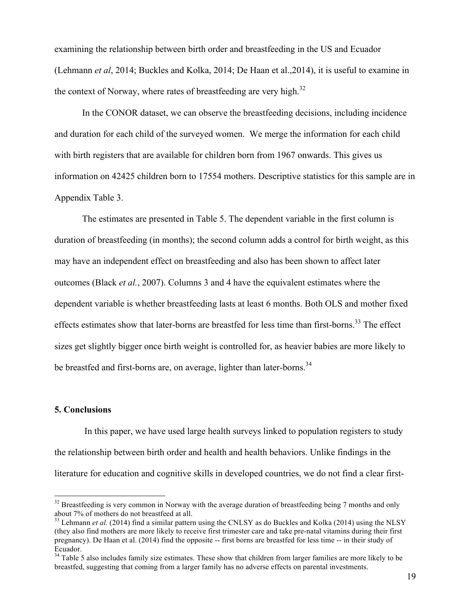examining the relationship between birth order and breastfeeding in the US and Ecuador (Lehmann *et al*, 2014; Buckles and Kolka, 2014; De Haan et al.,2014), it is useful to examine in the context of Norway, where rates of breastfeeding are very high.<sup>32</sup>

In the CONOR dataset, we can observe the breastfeeding decisions, including incidence and duration for each child of the surveyed women. We merge the information for each child with birth registers that are available for children born from 1967 onwards. This gives us information on 42425 children born to 17554 mothers. Descriptive statistics for this sample are in Appendix Table 3.

The estimates are presented in Table 5. The dependent variable in the first column is duration of breastfeeding (in months); the second column adds a control for birth weight, as this may have an independent effect on breastfeeding and also has been shown to affect later outcomes (Black *et al.*, 2007). Columns 3 and 4 have the equivalent estimates where the dependent variable is whether breastfeeding lasts at least 6 months. Both OLS and mother fixed effects estimates show that later-borns are breastfed for less time than first-borns.<sup>33</sup> The effect sizes get slightly bigger once birth weight is controlled for, as heavier babies are more likely to be breastfed and first-borns are, on average, lighter than later-borns.<sup>34</sup>

#### **5. Conclusions**

In this paper, we have used large health surveys linked to population registers to study the relationship between birth order and health and health behaviors. Unlike findings in the literature for education and cognitive skills in developed countries, we do not find a clear first-

 $32$  Breastfeeding is very common in Norway with the average duration of breastfeeding being 7 months and only about 7% of mothers do not breastfeed at all.

 $33$  Lehmann *et al.* (2014) find a similar pattern using the CNLSY as do Buckles and Kolka (2014) using the NLSY (they also find mothers are more likely to receive first trimester care and take pre-natal vitamins during their first pregnancy). De Haan et al. (2014) find the opposite -- first borns are breastfed for less time -- in their study of Ecuador.

 $34$  Table 5 also includes family size estimates. These show that children from larger families are more likely to be breastfed, suggesting that coming from a larger family has no adverse effects on parental investments.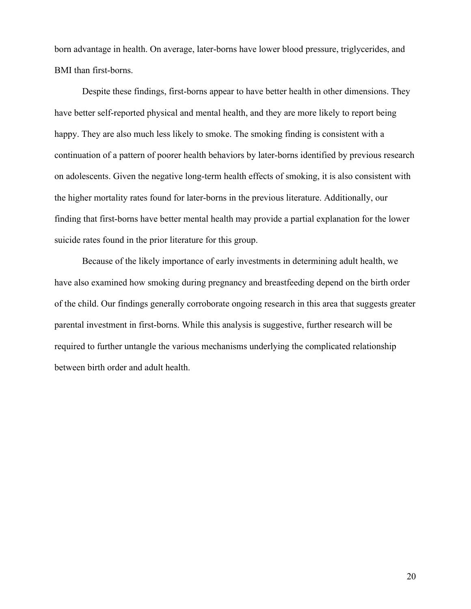born advantage in health. On average, later-borns have lower blood pressure, triglycerides, and BMI than first-borns.

Despite these findings, first-borns appear to have better health in other dimensions. They have better self-reported physical and mental health, and they are more likely to report being happy. They are also much less likely to smoke. The smoking finding is consistent with a continuation of a pattern of poorer health behaviors by later-borns identified by previous research on adolescents. Given the negative long-term health effects of smoking, it is also consistent with the higher mortality rates found for later-borns in the previous literature. Additionally, our finding that first-borns have better mental health may provide a partial explanation for the lower suicide rates found in the prior literature for this group.

Because of the likely importance of early investments in determining adult health, we have also examined how smoking during pregnancy and breastfeeding depend on the birth order of the child. Our findings generally corroborate ongoing research in this area that suggests greater parental investment in first-borns. While this analysis is suggestive, further research will be required to further untangle the various mechanisms underlying the complicated relationship between birth order and adult health.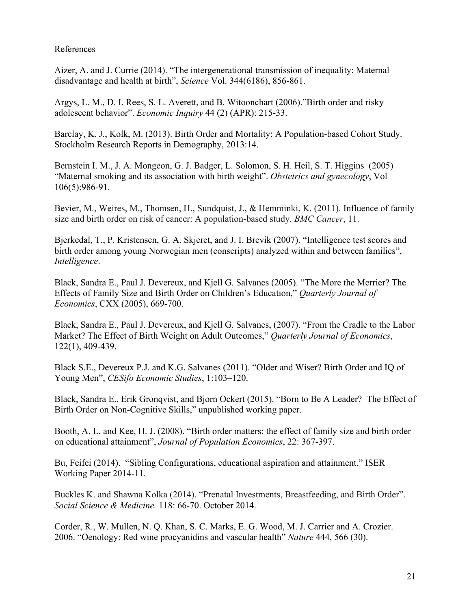#### References

Aizer, A. and J. Currie (2014). "The intergenerational transmission of inequality: Maternal disadvantage and health at birth", *Science* Vol. 344(6186), 856-861.

Argys, L. M., D. I. Rees, S. L. Averett, and B. Witoonchart (2006)."Birth order and risky adolescent behavior". *Economic Inquiry* 44 (2) (APR): 215-33.

Barclay, K. J., Kolk, M. (2013). Birth Order and Mortality: A Population-based Cohort Study. Stockholm Research Reports in Demography, 2013:14.

Bernstein I. M., J. A. Mongeon, G. J. Badger, L. Solomon, S. H. Heil, S. T. Higgins (2005) "Maternal smoking and its association with birth weight". *Obstetrics and gynecology*, Vol 106(5):986-91.

Bevier, M., Weires, M., Thomsen, H., Sundquist, J., & Hemminki, K. (2011). Influence of family size and birth order on risk of cancer: A population-based study. *BMC Cancer*, 11.

Bjerkedal, T., P. Kristensen, G. A. Skjeret, and J. I. Brevik (2007). "Intelligence test scores and birth order among young Norwegian men (conscripts) analyzed within and between families", *Intelligence*.

Black, Sandra E., Paul J. Devereux, and Kjell G. Salvanes (2005). "The More the Merrier? The Effects of Family Size and Birth Order on Children's Education," *Quarterly Journal of Economics*, CXX (2005), 669-700.

Black, Sandra E., Paul J. Devereux, and Kjell G. Salvanes, (2007). "From the Cradle to the Labor Market? The Effect of Birth Weight on Adult Outcomes," *Quarterly Journal of Economics*, 122(1), 409-439.

Black S.E., Devereux P.J. and K.G. Salvanes (2011). "Older and Wiser? Birth Order and IQ of Young Men", *CESifo Economic Studies*, 1:103–120.

Black, Sandra E., Erik Gronqvist, and Bjorn Ockert (2015). "Born to Be A Leader? The Effect of Birth Order on Non-Cognitive Skills," unpublished working paper.

Booth, A. L. and Kee, H. J. (2008). "Birth order matters: the effect of family size and birth order on educational attainment", *Journal of Population Economics*, 22: 367-397.

Bu, Feifei (2014). "Sibling Configurations, educational aspiration and attainment." ISER Working Paper 2014-11.

Buckles K. and Shawna Kolka (2014). "Prenatal Investments, Breastfeeding, and Birth Order". *Social Science & Medicine.* 118: 66-70. October 2014.

Corder, R., W. Mullen, N. Q. Khan, S. C. Marks, E. G. Wood, M. J. Carrier and A. Crozier. 2006. "Oenology: Red wine procyanidins and vascular health" *Nature* 444, 566 (30).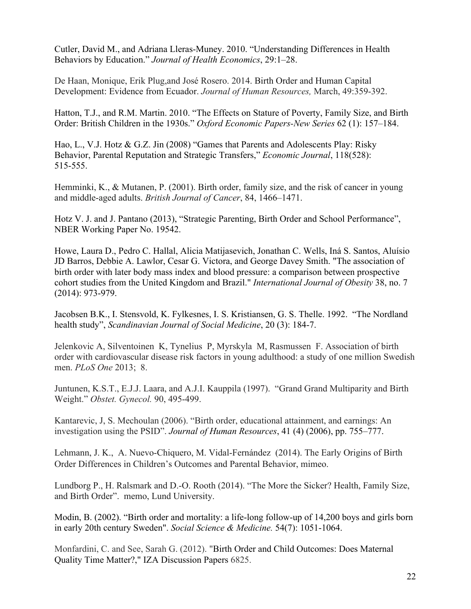Cutler, David M., and Adriana Lleras-Muney. 2010. "Understanding Differences in Health Behaviors by Education." *Journal of Health Economics*, 29:1–28.

De Haan, Monique, Erik Plug,and José Rosero. 2014. Birth Order and Human Capital Development: Evidence from Ecuador. *Journal of Human Resources,* March, 49:359-392.

Hatton, T.J., and R.M. Martin. 2010. "The Effects on Stature of Poverty, Family Size, and Birth Order: British Children in the 1930s." *Oxford Economic Papers-New Series* 62 (1): 157–184.

Hao, L., V.J. Hotz & G.Z. Jin (2008) "Games that Parents and Adolescents Play: Risky Behavior, Parental Reputation and Strategic Transfers," *Economic Journal*, 118(528): 515-555.

Hemminki, K., & Mutanen, P. (2001). Birth order, family size, and the risk of cancer in young and middle-aged adults. *British Journal of Cancer*, 84, 1466–1471.

Hotz V. J. and J. Pantano (2013), "Strategic Parenting, Birth Order and School Performance", NBER Working Paper No. 19542.

Howe, Laura D., Pedro C. Hallal, Alicia Matijasevich, Jonathan C. Wells, Iná S. Santos, Aluísio JD Barros, Debbie A. Lawlor, Cesar G. Victora, and George Davey Smith. "The association of birth order with later body mass index and blood pressure: a comparison between prospective cohort studies from the United Kingdom and Brazil." *International Journal of Obesity* 38, no. 7 (2014): 973-979.

Jacobsen B.K., I. Stensvold, K. Fylkesnes, I. S. Kristiansen, G. S. Thelle. 1992. "The Nordland health study", *Scandinavian Journal of Social Medicine*, 20 (3): 184-7.

Jelenkovic A, Silventoinen K, Tynelius P, Myrskyla M, Rasmussen F. Association of birth order with cardiovascular disease risk factors in young adulthood: a study of one million Swedish men. *PLoS One* 2013; 8.

Juntunen, K.S.T., E.J.J. Laara, and A.J.I. Kauppila (1997). "Grand Grand Multiparity and Birth Weight." *Obstet. Gynecol.* 90, 495-499.

Kantarevic, J, S. Mechoulan (2006). "Birth order, educational attainment, and earnings: An investigation using the PSID". *Journal of Human Resources*, 41 (4) (2006), pp. 755–777.

Lehmann, J. K., A. Nuevo-Chiquero, M. Vidal-Fernández (2014). The Early Origins of Birth Order Differences in Children's Outcomes and Parental Behavior, mimeo.

Lundborg P., H. Ralsmark and D.-O. Rooth (2014). "The More the Sicker? Health, Family Size, and Birth Order". memo, Lund University.

Modin, B. (2002). "Birth order and mortality: a life-long follow-up of 14,200 boys and girls born in early 20th century Sweden". *Social Science & Medicine.* 54(7): 1051-1064.

Monfardini, C. and See, Sarah G. (2012). "Birth Order and Child Outcomes: Does Maternal Quality Time Matter?," IZA Discussion Papers 6825.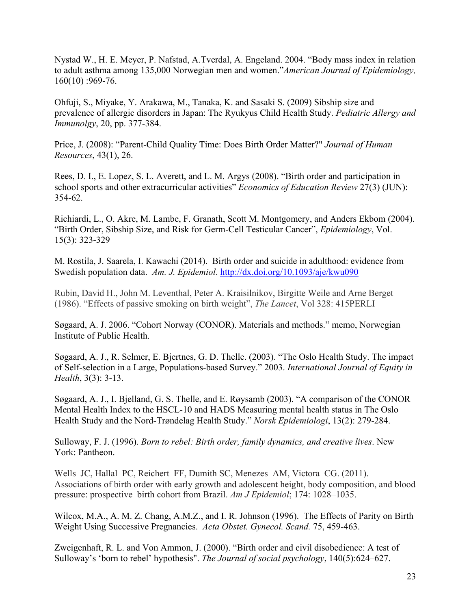Nystad W., H. E. Meyer, P. Nafstad, A.Tverdal, A. Engeland. 2004. "Body mass index in relation to adult asthma among 135,000 Norwegian men and women."*American Journal of Epidemiology,* 160(10) :969-76.

Ohfuji, S., Miyake, Y. Arakawa, M., Tanaka, K. and Sasaki S. (2009) Sibship size and prevalence of allergic disorders in Japan: The Ryukyus Child Health Study. *Pediatric Allergy and Immunolgy*, 20, pp. 377-384.

Price, J. (2008): "Parent-Child Quality Time: Does Birth Order Matter?" *Journal of Human Resources*, 43(1), 26.

Rees, D. I., E. Lopez, S. L. Averett, and L. M. Argys (2008). "Birth order and participation in school sports and other extracurricular activities" *Economics of Education Review* 27(3) (JUN): 354-62.

Richiardi, L., O. Akre, M. Lambe, F. Granath, Scott M. Montgomery, and Anders Ekbom (2004). "Birth Order, Sibship Size, and Risk for Germ-Cell Testicular Cancer", *Epidemiology*, Vol. 15(3): 323-329

M. Rostila, J. Saarela, I. Kawachi (2014). Birth order and suicide in adulthood: evidence from Swedish population data. *Am. J. Epidemiol*. http://dx.doi.org/10.1093/aje/kwu090

Rubin, David H., John M. Leventhal, Peter A. Kraisilnikov, Birgitte Weile and Arne Berget (1986). "Effects of passive smoking on birth weight", *The Lancet*, Vol 328: 415PERLI

Søgaard, A. J. 2006. "Cohort Norway (CONOR). Materials and methods." memo, Norwegian Institute of Public Health.

Søgaard, A. J., R. Selmer, E. Bjertnes, G. D. Thelle. (2003). "The Oslo Health Study. The impact of Self-selection in a Large, Populations-based Survey." 2003. *International Journal of Equity in Health*, 3(3): 3-13.

Søgaard, A. J., I. Bjelland, G. S. Thelle, and E. Røysamb (2003). "A comparison of the CONOR Mental Health Index to the HSCL-10 and HADS Measuring mental health status in The Oslo Health Study and the Nord-Trøndelag Health Study." *Norsk Epidemiologi*, 13(2): 279-284.

Sulloway, F. J. (1996). *Born to rebel: Birth order, family dynamics, and creative lives*. New York: Pantheon.

Wells JC, Hallal PC, Reichert FF, Dumith SC, Menezes AM, Victora CG. (2011). Associations of birth order with early growth and adolescent height, body composition, and blood pressure: prospective birth cohort from Brazil. *Am J Epidemiol*; 174: 1028–1035.

Wilcox, M.A., A. M. Z. Chang, A.M.Z., and I. R. Johnson (1996). The Effects of Parity on Birth Weight Using Successive Pregnancies. *Acta Obstet. Gynecol. Scand.* 75, 459-463.

Zweigenhaft, R. L. and Von Ammon, J. (2000). "Birth order and civil disobedience: A test of Sulloway's 'born to rebel' hypothesis". *The Journal of social psychology*, 140(5):624–627.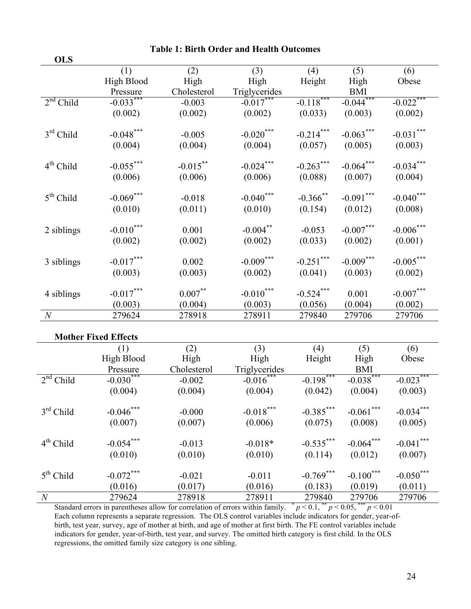| <b>OLS</b>  |                   |             |               |              |             |              |
|-------------|-------------------|-------------|---------------|--------------|-------------|--------------|
|             | (1)               | (2)         | (3)           | (4)          | (5)         | (6)          |
|             | <b>High Blood</b> | High        | High          | Height       | High        | Obese        |
|             | Pressure          | Cholesterol | Triglycerides |              | BMI         |              |
| $2nd$ Child | $-0.033***$       | $-0.003$    | $-0.017***$   | $-0.118***$  | $-0.044***$ | $-0.022$ *** |
|             | (0.002)           | (0.002)     | (0.002)       | (0.033)      | (0.003)     | (0.002)      |
| $3rd$ Child | $-0.048***$       | $-0.005$    | $-0.020***$   | $-0.214***$  | $-0.063***$ | $-0.031***$  |
|             | (0.004)           | (0.004)     | (0.004)       | (0.057)      | (0.005)     | (0.003)      |
| $4th$ Child | $-0.055***$       | $-0.015***$ | $-0.024***$   | $-0.263***$  | $-0.064***$ | $-0.034***$  |
|             | (0.006)           | (0.006)     | (0.006)       | (0.088)      | (0.007)     | (0.004)      |
| $5th$ Child | $-0.069***$       | $-0.018$    | $-0.040$ ***  | $-0.366$ **  | $-0.091***$ | $-0.040$ *** |
|             | (0.010)           | (0.011)     | (0.010)       | (0.154)      | (0.012)     | (0.008)      |
| 2 siblings  | $-0.010***$       | 0.001       | $-0.004$ **   | $-0.053$     | $-0.007***$ | $-0.006***$  |
|             | (0.002)           | (0.002)     | (0.002)       | (0.033)      | (0.002)     | (0.001)      |
| 3 siblings  | $-0.017***$       | 0.002       | $-0.009***$   | $-0.251$ *** | $-0.009***$ | $-0.005***$  |
|             | (0.003)           | (0.003)     | (0.002)       | (0.041)      | (0.003)     | (0.002)      |
| 4 siblings  | $-0.017***$       | $0.007***$  | $-0.010***$   | $-0.524***$  | 0.001       | $-0.007***$  |
|             | (0.003)           | (0.004)     | (0.003)       | (0.056)      | (0.004)     | (0.002)      |
| N           | 279624            | 278918      | 278911        | 279840       | 279706      | 279706       |

**Table 1: Birth Order and Health Outcomes**

|                | <b>Mother Fixed Effects</b> |             |               |              |                         |              |
|----------------|-----------------------------|-------------|---------------|--------------|-------------------------|--------------|
|                | (1)                         | (2)         | (3)           | (4)          | (5)                     | (6)          |
|                | High Blood                  | High        | High          | Height       | High                    | Obese        |
|                | Pressure                    | Cholesterol | Triglycerides |              | <b>BMI</b>              |              |
| $2nd$ Child    | $-0.030***$                 | $-0.002$    | $-0.016***$   | $-0.198$ *** | $-0.038$ <sup>***</sup> | $-0.023***$  |
|                | (0.004)                     | (0.004)     | (0.004)       | (0.042)      | (0.004)                 | (0.003)      |
| $3rd$ Child    | $-0.046$ ***                | $-0.000$    | $-0.018***$   | $-0.385***$  | $-0.061$ ***            | $-0.034***$  |
|                | (0.007)                     | (0.007)     | (0.006)       | (0.075)      | (0.008)                 | (0.005)      |
| $4th$ Child    | $-0.054***$                 | $-0.013$    | $-0.018*$     | $-0.535***$  | $-0.064***$             | $-0.041$ *** |
|                | (0.010)                     | (0.010)     | (0.010)       | (0.114)      | (0.012)                 | (0.007)      |
| $5th$ Child    | $-0.072$ ***                | $-0.021$    | $-0.011$      | $-0.769$ *** | $-0.100***$             | $-0.050$ *** |
|                | (0.016)                     | (0.017)     | (0.016)       | (0.183)      | (0.019)                 | (0.011)      |
| $\overline{N}$ | 279624                      | 278918      | 278911        | 279840       | 279706                  | 279706       |

Standard errors in parentheses allow for correlation of errors within family.  $p < 0.1$ ,  $p < 0.05$ ,  $p < 0.01$ Each column represents a separate regression. The OLS control variables include indicators for gender, year-ofbirth, test year, survey, age of mother at birth, and age of mother at first birth. The FE control variables include indicators for gender, year-of-birth, test year, and survey. The omitted birth category is first child. In the OLS regressions, the omitted family size category is one sibling.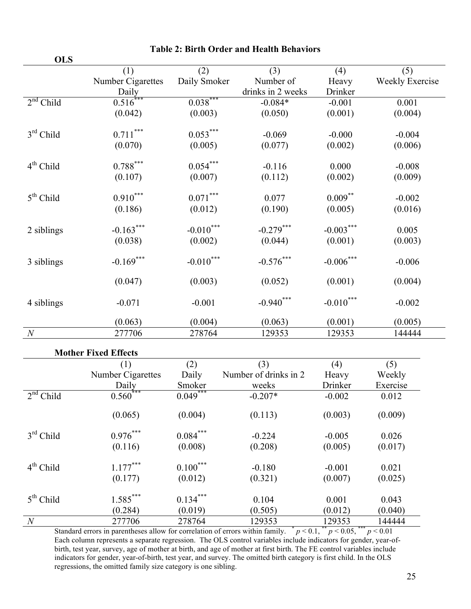| <b>OLS</b>     |                   |              |                   |             |                        |
|----------------|-------------------|--------------|-------------------|-------------|------------------------|
|                | (1)               | (2)          | (3)               | (4)         | (5)                    |
|                | Number Cigarettes | Daily Smoker | Number of         | Heavy       | <b>Weekly Exercise</b> |
|                | Daily             |              | drinks in 2 weeks | Drinker     |                        |
| $2nd$ Child    | $0.516***$        | $0.038***$   | $-0.084*$         | $-0.001$    | 0.001                  |
|                | (0.042)           | (0.003)      | (0.050)           | (0.001)     | (0.004)                |
| $3rd$ Child    | $0.711***$        | $0.053***$   | $-0.069$          | $-0.000$    | $-0.004$               |
|                | (0.070)           | (0.005)      | (0.077)           | (0.002)     | (0.006)                |
| $4th$ Child    | $0.788***$        | $0.054***$   | $-0.116$          | 0.000       | $-0.008$               |
|                | (0.107)           | (0.007)      | (0.112)           | (0.002)     | (0.009)                |
| $5th$ Child    | $0.910***$        | $0.071***$   | 0.077             | $0.009***$  | $-0.002$               |
|                | (0.186)           | (0.012)      | (0.190)           | (0.005)     | (0.016)                |
| 2 siblings     | $-0.163***$       | $-0.010***$  | $-0.279***$       | $-0.003***$ | 0.005                  |
|                | (0.038)           | (0.002)      | (0.044)           | (0.001)     | (0.003)                |
| 3 siblings     | $-0.169***$       | $-0.010***$  | $-0.576***$       | $-0.006***$ | $-0.006$               |
|                | (0.047)           | (0.003)      | (0.052)           | (0.001)     | (0.004)                |
| 4 siblings     | $-0.071$          | $-0.001$     | $-0.940$ ***      | $-0.010***$ | $-0.002$               |
|                | (0.063)           | (0.004)      | (0.063)           | (0.001)     | (0.005)                |
| $\overline{N}$ | 277706            | 278764       | 129353            | 129353      | 144444                 |

|                | <b>Mother Fixed Effects</b> |            |                       |                        |          |
|----------------|-----------------------------|------------|-----------------------|------------------------|----------|
|                | (1)                         | (2)        | (3)                   | (4)                    | (5)      |
|                | Number Cigarettes           | Daily      | Number of drinks in 2 | Heavy                  | Weekly   |
|                | Daily                       | Smoker     | weeks                 | Drinker                | Exercise |
| $2nd$ Child    | $0.560***$                  | $0.049***$ | $-0.207*$             | $-0.002$               | 0.012    |
|                | (0.065)                     | (0.004)    | (0.113)               | (0.003)                | (0.009)  |
| $3rd$ Child    | $0.976***$                  | $0.084***$ | $-0.224$              | $-0.005$               | 0.026    |
|                | (0.116)                     | (0.008)    | (0.208)               | (0.005)                | (0.017)  |
| $4th$ Child    | $1.177***$                  | $0.100***$ | $-0.180$              | $-0.001$               | 0.021    |
|                | (0.177)                     | (0.012)    | (0.321)               | (0.007)                | (0.025)  |
| $5th$ Child    | $1.585***$                  | $0.134***$ | 0.104                 | 0.001                  | 0.043    |
|                | (0.284)                     | (0.019)    | (0.505)               | (0.012)                | (0.040)  |
| $\overline{N}$ | 277706                      | 278764     | 129353                | 129353<br>$***$<br>*** | 144444   |

Standard errors in parentheses allow for correlation of errors within family.  $p < 0.1$ ,  $p < 0.05$ ,  $p < 0.01$ Each column represents a separate regression. The OLS control variables include indicators for gender, year-ofbirth, test year, survey, age of mother at birth, and age of mother at first birth. The FE control variables include indicators for gender, year-of-birth, test year, and survey. The omitted birth category is first child. In the OLS regressions, the omitted family size category is one sibling.

### **Table 2: Birth Order and Health Behaviors**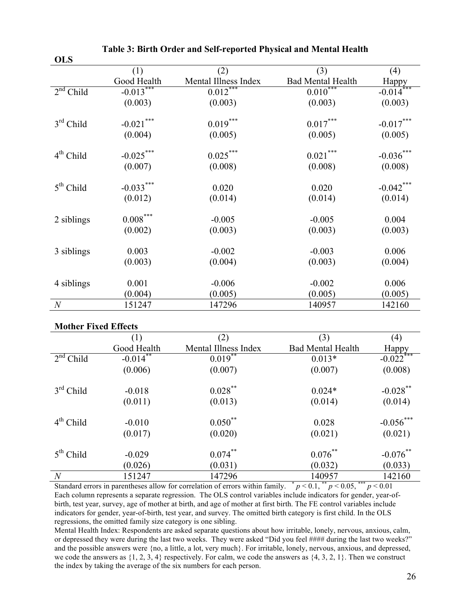| (3)<br>(1)<br>(2)<br>(4)<br>Good Health<br>Mental Illness Index<br><b>Bad Mental Health</b><br>$\frac{\text{Happy}}{-0.014}$<br>$0.012***$<br>$-0.013***$<br>$0.010***$<br>$2nd$ Child<br>(0.003)<br>(0.003)<br>(0.003)<br>(0.003)<br>$\textbf{-0.021}^{***}$<br>$0.019***$<br>$0.017***$<br>$-0.017***$<br>$3rd$ Child<br>(0.004)<br>(0.005)<br>(0.005)<br>(0.005)<br>$0.025***$<br>$0.021***$<br>$-0.036***$<br>$-0.025***$<br>$4th$ Child<br>(0.007)<br>(0.008)<br>(0.008)<br>(0.008)<br>$-0.033***$<br>$-0.042$ ***<br>$5th$ Child<br>0.020<br>0.020<br>(0.012)<br>(0.014)<br>(0.014)<br>(0.014)<br>${0.008}^{\ast\ast\ast}$<br>2 siblings<br>$-0.005$<br>$-0.005$<br>0.004<br>(0.002)<br>(0.003)<br>(0.003)<br>(0.003)<br>0.003<br>0.006<br>3 siblings<br>$-0.002$<br>$-0.003$<br>(0.003)<br>(0.004)<br>(0.003)<br>(0.004)<br>0.001<br>$-0.006$<br>$-0.002$<br>0.006<br>4 siblings<br>(0.005)<br>(0.005)<br>(0.005)<br>(0.004)<br>$\overline{N}$<br>151247<br>147296<br>140957<br>142160 | <b>ULD</b> |  |  |
|-----------------------------------------------------------------------------------------------------------------------------------------------------------------------------------------------------------------------------------------------------------------------------------------------------------------------------------------------------------------------------------------------------------------------------------------------------------------------------------------------------------------------------------------------------------------------------------------------------------------------------------------------------------------------------------------------------------------------------------------------------------------------------------------------------------------------------------------------------------------------------------------------------------------------------------------------------------------------------------------------|------------|--|--|
|                                                                                                                                                                                                                                                                                                                                                                                                                                                                                                                                                                                                                                                                                                                                                                                                                                                                                                                                                                                               |            |  |  |
|                                                                                                                                                                                                                                                                                                                                                                                                                                                                                                                                                                                                                                                                                                                                                                                                                                                                                                                                                                                               |            |  |  |
|                                                                                                                                                                                                                                                                                                                                                                                                                                                                                                                                                                                                                                                                                                                                                                                                                                                                                                                                                                                               |            |  |  |
|                                                                                                                                                                                                                                                                                                                                                                                                                                                                                                                                                                                                                                                                                                                                                                                                                                                                                                                                                                                               |            |  |  |
|                                                                                                                                                                                                                                                                                                                                                                                                                                                                                                                                                                                                                                                                                                                                                                                                                                                                                                                                                                                               |            |  |  |
|                                                                                                                                                                                                                                                                                                                                                                                                                                                                                                                                                                                                                                                                                                                                                                                                                                                                                                                                                                                               |            |  |  |
|                                                                                                                                                                                                                                                                                                                                                                                                                                                                                                                                                                                                                                                                                                                                                                                                                                                                                                                                                                                               |            |  |  |
|                                                                                                                                                                                                                                                                                                                                                                                                                                                                                                                                                                                                                                                                                                                                                                                                                                                                                                                                                                                               |            |  |  |
|                                                                                                                                                                                                                                                                                                                                                                                                                                                                                                                                                                                                                                                                                                                                                                                                                                                                                                                                                                                               |            |  |  |
|                                                                                                                                                                                                                                                                                                                                                                                                                                                                                                                                                                                                                                                                                                                                                                                                                                                                                                                                                                                               |            |  |  |
|                                                                                                                                                                                                                                                                                                                                                                                                                                                                                                                                                                                                                                                                                                                                                                                                                                                                                                                                                                                               |            |  |  |
|                                                                                                                                                                                                                                                                                                                                                                                                                                                                                                                                                                                                                                                                                                                                                                                                                                                                                                                                                                                               |            |  |  |
|                                                                                                                                                                                                                                                                                                                                                                                                                                                                                                                                                                                                                                                                                                                                                                                                                                                                                                                                                                                               |            |  |  |
|                                                                                                                                                                                                                                                                                                                                                                                                                                                                                                                                                                                                                                                                                                                                                                                                                                                                                                                                                                                               |            |  |  |
|                                                                                                                                                                                                                                                                                                                                                                                                                                                                                                                                                                                                                                                                                                                                                                                                                                                                                                                                                                                               |            |  |  |
|                                                                                                                                                                                                                                                                                                                                                                                                                                                                                                                                                                                                                                                                                                                                                                                                                                                                                                                                                                                               |            |  |  |
|                                                                                                                                                                                                                                                                                                                                                                                                                                                                                                                                                                                                                                                                                                                                                                                                                                                                                                                                                                                               |            |  |  |

#### **Table 3: Birth Order and Self-reported Physical and Mental Health**

#### **Mother Fixed Effects**

 $\Omega$ 

|                | (1)         | (2)                  | (3)                      | (4)                     |
|----------------|-------------|----------------------|--------------------------|-------------------------|
|                | Good Health | Mental Illness Index | <b>Bad Mental Health</b> | Happy                   |
| $2nd$ Child    | $-0.014$ ** | $0.019**$            | $0.013*$                 | $-0.022$ <sup>***</sup> |
|                | (0.006)     | (0.007)              | (0.007)                  | (0.008)                 |
| $3rd$ Child    | $-0.018$    | $0.028***$           | $0.024*$                 | $-0.028$ **             |
|                | (0.011)     | (0.013)              | (0.014)                  | (0.014)                 |
| $4th$ Child    | $-0.010$    | $0.050**$            | 0.028                    | $-0.056***$             |
|                | (0.017)     | (0.020)              | (0.021)                  | (0.021)                 |
| $5th$ Child    | $-0.029$    | $0.074***$           | $0.076***$               | $-0.076$ **             |
|                | (0.026)     | (0.031)              | (0.032)                  | (0.033)                 |
| $\overline{N}$ | 151247      | 147296               | 140957                   | 142160                  |

Standard errors in parentheses allow for correlation of errors within family.  $\bar{p}$  < 0.1,  $\bar{p}$  < 0.05,  $\bar{p}$  + 0.01 Each column represents a separate regression. The OLS control variables include indicators for gender, year-ofbirth, test year, survey, age of mother at birth, and age of mother at first birth. The FE control variables include indicators for gender, year-of-birth, test year, and survey. The omitted birth category is first child. In the OLS regressions, the omitted family size category is one sibling.

Mental Health Index: Respondents are asked separate questions about how irritable, lonely, nervous, anxious, calm, or depressed they were during the last two weeks. They were asked "Did you feel #### during the last two weeks?" and the possible answers were {no, a little, a lot, very much}. For irritable, lonely, nervous, anxious, and depressed, we code the answers as  $\{1, 2, 3, 4\}$  respectively. For calm, we code the answers as  $\{4, 3, 2, 1\}$ . Then we construct the index by taking the average of the six numbers for each person.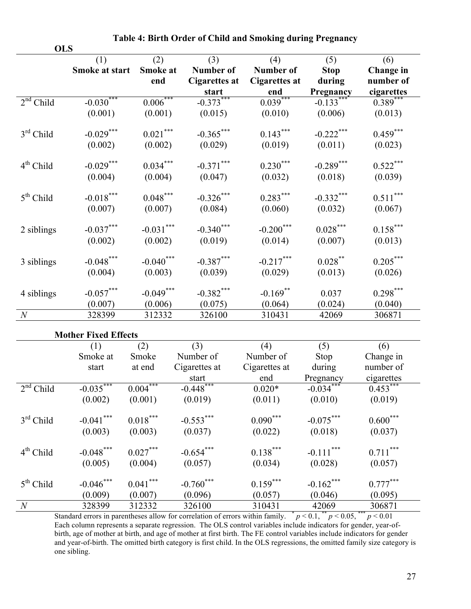|                  | <b>OLS</b>                  |                        |                                            |                                          |                              |                               |
|------------------|-----------------------------|------------------------|--------------------------------------------|------------------------------------------|------------------------------|-------------------------------|
|                  | (1)<br>Smoke at start       | (2)<br>Smoke at<br>end | $(3)$<br>Number of<br><b>Cigarettes at</b> | (4)<br>Number of<br><b>Cigarettes at</b> | (5)<br><b>Stop</b><br>during | (6)<br>Change in<br>number of |
|                  |                             |                        | start                                      | end                                      | Pregnancy                    | cigarettes                    |
| $2nd$ Child      | $-0.030***$                 | $0.006***$             | $-0.373***$                                | $0.039***$                               | $-0.133***$                  | $0.389***$                    |
|                  | (0.001)                     | (0.001)                | (0.015)                                    | (0.010)                                  | (0.006)                      | (0.013)                       |
| $3rd$ Child      | $-0.029***$                 | $0.021***$             | $-0.365***$                                | $0.143***$                               | $-0.222$ ***                 | $0.459***$                    |
|                  | (0.002)                     | (0.002)                | (0.029)                                    | (0.019)                                  | (0.011)                      | (0.023)                       |
| $4th$ Child      | $-0.029***$                 | $0.034***$             | $-0.371***$                                | $0.230***$                               | $-0.289***$                  | $0.522***$                    |
|                  | (0.004)                     | (0.004)                | (0.047)                                    | (0.032)                                  | (0.018)                      | (0.039)                       |
| $5th$ Child      | $-0.018***$                 | $0.048***$             | $-0.326$ ***                               | $0.283***$                               | $-0.332***$                  | $0.511***$                    |
|                  | (0.007)                     | (0.007)                | (0.084)                                    | (0.060)                                  | (0.032)                      | (0.067)                       |
| 2 siblings       | $-0.037***$                 | $-0.031***$            | $-0.340$ ***                               | $-0.200$ ***                             | $0.028***$                   | $0.158***$                    |
|                  | (0.002)                     | (0.002)                | (0.019)                                    | (0.014)                                  | (0.007)                      | (0.013)                       |
| 3 siblings       | $-0.048***$                 | $-0.040$ ***           | $-0.387***$                                | $-0.217***$                              | $0.028***$                   | $0.205***$                    |
|                  | (0.004)                     | (0.003)                | (0.039)                                    | (0.029)                                  | (0.013)                      | (0.026)                       |
| 4 siblings       | $-0.057***$                 | $-0.049***$            | $-0.382***$                                | $-0.169$ **                              | 0.037                        | $0.298***$                    |
|                  | (0.007)                     | (0.006)                | (0.075)                                    | (0.064)                                  | (0.024)                      | (0.040)                       |
| $\boldsymbol{N}$ | 328399                      | 312332                 | 326100                                     | 310431                                   | 42069                        | 306871                        |
|                  | <b>Mother Fixed Effects</b> |                        |                                            |                                          |                              |                               |
|                  | (1)                         | (2)                    | (3)                                        | (4)                                      | (5)                          | (6)                           |

|  | Table 4: Birth Order of Child and Smoking during Pregnancy |
|--|------------------------------------------------------------|
|  |                                                            |

|                | (1)          | (2)        | (3)           | (4)           | (5)                     | (6)        |
|----------------|--------------|------------|---------------|---------------|-------------------------|------------|
|                | Smoke at     | Smoke      | Number of     | Number of     | Stop                    | Change in  |
|                | start        | at end     | Cigarettes at | Cigarettes at | during                  | number of  |
|                |              |            | start         | end           | Pregnancy               | cigarettes |
| $2nd$ Child    | $-0.035***$  | $0.004***$ | $-0.448$ ***  | $0.020*$      | $-0.034***$             | $0.453***$ |
|                | (0.002)      | (0.001)    | (0.019)       | (0.011)       | (0.010)                 | (0.019)    |
| $3rd$ Child    | $-0.041$ *** | $0.018***$ | $-0.553***$   | $0.090***$    | $-0.075***$             | $0.600***$ |
|                | (0.003)      | (0.003)    | (0.037)       | (0.022)       | (0.018)                 | (0.037)    |
| $4th$ Child    | $-0.048$ *** | $0.027***$ | $-0.654***$   | $0.138***$    | $-0.111$ <sup>***</sup> | $0.711***$ |
|                | (0.005)      | (0.004)    | (0.057)       | (0.034)       | (0.028)                 | (0.057)    |
| $5th$ Child    | $-0.046$ *** | $0.041***$ | $-0.760***$   | $0.159***$    | $-0.162$ ***            | $0.777***$ |
|                | (0.009)      | (0.007)    | (0.096)       | (0.057)       | (0.046)                 | (0.095)    |
| $\overline{N}$ | 328399       | 312332     | 326100        | 310431        | 42069                   | 306871     |

Standard errors in parentheses allow for correlation of errors within family.  $p < 0.1$ ,  $p < 0.05$ ,  $p < 0.01$ Each column represents a separate regression. The OLS control variables include indicators for gender, year-ofbirth, age of mother at birth, and age of mother at first birth. The FE control variables include indicators for gender and year-of-birth. The omitted birth category is first child. In the OLS regressions, the omitted family size category is one sibling.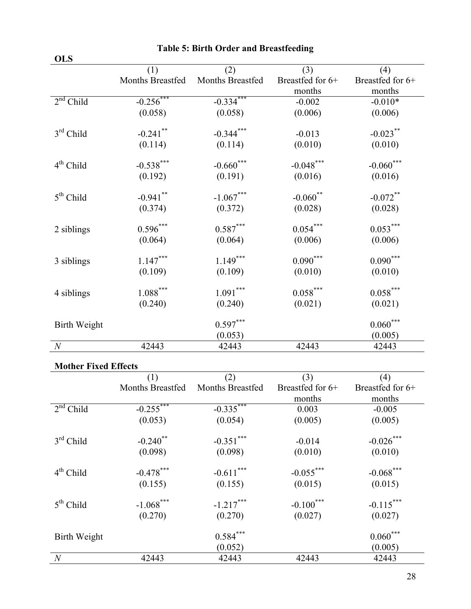| (1)<br>(2)<br>(3)<br>Months Breastfed<br>Months Breastfed<br>Breastfed for 6+<br>months | (4)<br>Breastfed for 6+<br>months<br>$-0.010*$ |
|-----------------------------------------------------------------------------------------|------------------------------------------------|
|                                                                                         |                                                |
|                                                                                         |                                                |
|                                                                                         |                                                |
| $-0.334***$<br>$2nd$ Child<br>$-0.256$ ***<br>$-0.002$                                  |                                                |
| (0.058)<br>(0.058)<br>(0.006)                                                           | (0.006)                                        |
| $-0.241$ **<br>$-0.344***$<br>$3rd$ Child<br>$-0.013$                                   | $-0.023$ **                                    |
| (0.010)<br>(0.114)<br>(0.114)                                                           | (0.010)                                        |
| $-0.660$ ***<br>$-0.538***$<br>$-0.048***$<br>$4th$ Child                               | $-0.060$ ***                                   |
| (0.191)<br>(0.016)<br>(0.192)                                                           | (0.016)                                        |
| $-0.941$ **<br>$-1.067***$<br>$-0.060$ **<br>$5th$ Child                                | $-0.072$ **                                    |
| (0.028)<br>(0.374)<br>(0.372)                                                           | (0.028)                                        |
| $0.596***$<br>$0.587***$<br>$0.054***$<br>2 siblings                                    | $0.053***$                                     |
| (0.064)<br>(0.006)<br>(0.064)                                                           | (0.006)                                        |
| $1.147***$<br>$1.149***$<br>$0.090***$<br>3 siblings                                    | $0.090***$                                     |
| (0.109)<br>(0.010)<br>(0.109)                                                           | (0.010)                                        |
| $\left. 1.088\right. ^{***}$<br>$1.091***$<br>$0.058***$<br>4 siblings                  | $0.058***$                                     |
| (0.240)<br>(0.021)<br>(0.240)                                                           | (0.021)                                        |
| $0.597***$<br><b>Birth Weight</b>                                                       | $0.060***$                                     |
| (0.053)                                                                                 | (0.005)                                        |
| $\boldsymbol{N}$<br>42443<br>42443<br>42443                                             | 42443                                          |

## **Table 5: Birth Order and Breastfeeding**

## **Mother Fixed Effects**

|                | (1)                     | (2)                     | (3)                | (4)                |
|----------------|-------------------------|-------------------------|--------------------|--------------------|
|                | <b>Months Breastfed</b> | <b>Months Breastfed</b> | Breastfed for $6+$ | Breastfed for $6+$ |
|                |                         |                         | months             | months             |
| $2nd$ Child    | $-0.255***$             | $-0.335***$             | 0.003              | $-0.005$           |
|                | (0.053)                 | (0.054)                 | (0.005)            | (0.005)            |
| $3rd$ Child    | $-0.240$ **             | $-0.351***$             | $-0.014$           | $-0.026$ ***       |
|                | (0.098)                 | (0.098)                 | (0.010)            | (0.010)            |
| $4th$ Child    | $-0.478$ ***            | $-0.611***$             | $-0.055***$        | $-0.068***$        |
|                | (0.155)                 | (0.155)                 | (0.015)            | (0.015)            |
| $5th$ Child    | $-1.068$ ***            | $-1.217***$             | $-0.100***$        | $-0.115***$        |
|                | (0.270)                 | (0.270)                 | (0.027)            | (0.027)            |
| Birth Weight   |                         | $0.584***$              |                    | $0.060***$         |
|                |                         | (0.052)                 |                    | (0.005)            |
| $\overline{N}$ | 42443                   | 42443                   | 42443              | 42443              |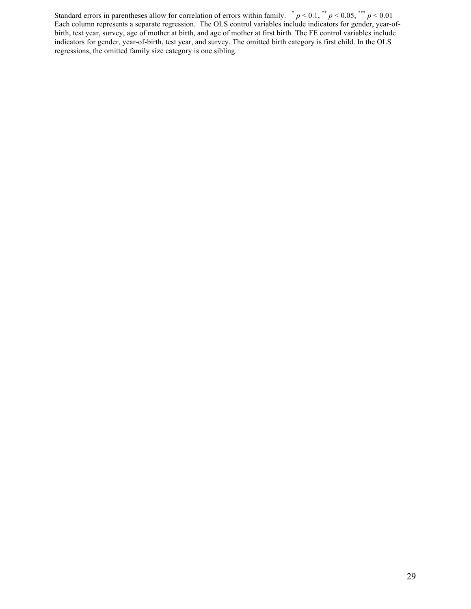Standard errors in parentheses allow for correlation of errors within family.  $p < 0.1$ ,  $p < 0.05$ ,  $p < 0.01$ Each column represents a separate regression. The OLS control variables include indicators for gender, year-ofbirth, test year, survey, age of mother at birth, and age of mother at first birth. The FE control variables include indicators for gender, year-of-birth, test year, and survey. The omitted birth category is first child. In the OLS regressions, the omitted family size category is one sibling.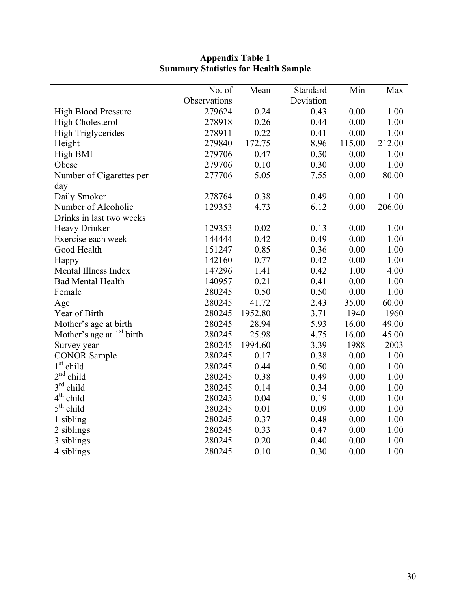| Observations<br>Deviation<br>0.24<br>0.00<br>1.00<br><b>High Blood Pressure</b><br>279624<br>0.43<br>0.26<br>0.00<br>1.00<br><b>High Cholesterol</b><br>278918<br>0.44<br>0.22<br>0.00<br>1.00<br><b>High Triglycerides</b><br>278911<br>0.41<br>172.75<br>8.96<br>115.00<br>212.00<br>Height<br>279840<br>0.50<br>0.00<br>High BMI<br>279706<br>0.47<br>1.00<br>Obese<br>0.10<br>0.30<br>0.00<br>1.00<br>279706<br>5.05<br>0.00<br>80.00<br>277706<br>7.55<br>Number of Cigarettes per<br>day<br>Daily Smoker<br>0.00<br>278764<br>0.38<br>0.49<br>1.00<br>Number of Alcoholic<br>4.73<br>6.12<br>0.00<br>206.00<br>129353<br>Drinks in last two weeks<br><b>Heavy Drinker</b><br>129353<br>0.13<br>0.00<br>1.00<br>0.02<br>0.49<br>0.00<br>1.00<br>Exercise each week<br>144444<br>0.42<br>0.85<br>0.36<br>0.00<br>1.00<br>Good Health<br>151247<br>0.77<br>0.42<br>0.00<br>1.00<br>142160<br>Happy<br>Mental Illness Index<br>1.41<br>0.42<br>1.00<br>4.00<br>147296<br>0.21<br>0.00<br><b>Bad Mental Health</b><br>140957<br>0.41<br>1.00<br>0.50<br>0.00<br>1.00<br>280245<br>0.50<br>Female<br>41.72<br>2.43<br>35.00<br>60.00<br>280245<br>Age<br>Year of Birth<br>3.71<br>1960<br>280245<br>1952.80<br>1940<br>28.94<br>5.93<br>16.00<br>49.00<br>Mother's age at birth<br>280245<br>Mother's age at $1st$ birth<br>25.98<br>4.75<br>45.00<br>280245<br>16.00<br>1994.60<br>3.39<br>1988<br>2003<br>280245<br>Survey year<br><b>CONOR Sample</b><br>0.38<br>0.00<br>1.00<br>280245<br>0.17<br>$1st$ child<br>0.00<br>1.00<br>280245<br>0.44<br>0.50<br>2 <sup>nd</sup><br>child<br>0.38<br>0.00<br>1.00<br>280245<br>0.49<br>$3^{\text{rd}}$<br>child<br>0.34<br>280245<br>0.14<br>0.00<br>1.00<br>$4th$ child<br>0.00<br>1.00<br>280245<br>0.04<br>0.19<br>$5th$ child<br>0.01<br>0.09<br>0.00<br>1.00<br>280245<br>0.00<br>1.00<br>280245<br>0.37<br>0.48<br>1 sibling<br>0.33<br>0.47<br>0.00<br>1.00<br>2 siblings<br>280245<br>0.20<br>0.00<br>3 siblings<br>280245<br>0.40<br>1.00<br>0.00<br>4 siblings<br>280245<br>0.10<br>0.30<br>1.00 | No. of | Mean | Standard | Min | Max |
|----------------------------------------------------------------------------------------------------------------------------------------------------------------------------------------------------------------------------------------------------------------------------------------------------------------------------------------------------------------------------------------------------------------------------------------------------------------------------------------------------------------------------------------------------------------------------------------------------------------------------------------------------------------------------------------------------------------------------------------------------------------------------------------------------------------------------------------------------------------------------------------------------------------------------------------------------------------------------------------------------------------------------------------------------------------------------------------------------------------------------------------------------------------------------------------------------------------------------------------------------------------------------------------------------------------------------------------------------------------------------------------------------------------------------------------------------------------------------------------------------------------------------------------------------------------------------------------------------------------------------------------------------------------------------------------------------------------------------------------------------------------------------------------------------------------------------------------------------------------------------------------------------------------------------------------------------------------------------------------------------------------------------------------------------------|--------|------|----------|-----|-----|
|                                                                                                                                                                                                                                                                                                                                                                                                                                                                                                                                                                                                                                                                                                                                                                                                                                                                                                                                                                                                                                                                                                                                                                                                                                                                                                                                                                                                                                                                                                                                                                                                                                                                                                                                                                                                                                                                                                                                                                                                                                                          |        |      |          |     |     |
|                                                                                                                                                                                                                                                                                                                                                                                                                                                                                                                                                                                                                                                                                                                                                                                                                                                                                                                                                                                                                                                                                                                                                                                                                                                                                                                                                                                                                                                                                                                                                                                                                                                                                                                                                                                                                                                                                                                                                                                                                                                          |        |      |          |     |     |
|                                                                                                                                                                                                                                                                                                                                                                                                                                                                                                                                                                                                                                                                                                                                                                                                                                                                                                                                                                                                                                                                                                                                                                                                                                                                                                                                                                                                                                                                                                                                                                                                                                                                                                                                                                                                                                                                                                                                                                                                                                                          |        |      |          |     |     |
|                                                                                                                                                                                                                                                                                                                                                                                                                                                                                                                                                                                                                                                                                                                                                                                                                                                                                                                                                                                                                                                                                                                                                                                                                                                                                                                                                                                                                                                                                                                                                                                                                                                                                                                                                                                                                                                                                                                                                                                                                                                          |        |      |          |     |     |
|                                                                                                                                                                                                                                                                                                                                                                                                                                                                                                                                                                                                                                                                                                                                                                                                                                                                                                                                                                                                                                                                                                                                                                                                                                                                                                                                                                                                                                                                                                                                                                                                                                                                                                                                                                                                                                                                                                                                                                                                                                                          |        |      |          |     |     |
|                                                                                                                                                                                                                                                                                                                                                                                                                                                                                                                                                                                                                                                                                                                                                                                                                                                                                                                                                                                                                                                                                                                                                                                                                                                                                                                                                                                                                                                                                                                                                                                                                                                                                                                                                                                                                                                                                                                                                                                                                                                          |        |      |          |     |     |
|                                                                                                                                                                                                                                                                                                                                                                                                                                                                                                                                                                                                                                                                                                                                                                                                                                                                                                                                                                                                                                                                                                                                                                                                                                                                                                                                                                                                                                                                                                                                                                                                                                                                                                                                                                                                                                                                                                                                                                                                                                                          |        |      |          |     |     |
|                                                                                                                                                                                                                                                                                                                                                                                                                                                                                                                                                                                                                                                                                                                                                                                                                                                                                                                                                                                                                                                                                                                                                                                                                                                                                                                                                                                                                                                                                                                                                                                                                                                                                                                                                                                                                                                                                                                                                                                                                                                          |        |      |          |     |     |
|                                                                                                                                                                                                                                                                                                                                                                                                                                                                                                                                                                                                                                                                                                                                                                                                                                                                                                                                                                                                                                                                                                                                                                                                                                                                                                                                                                                                                                                                                                                                                                                                                                                                                                                                                                                                                                                                                                                                                                                                                                                          |        |      |          |     |     |
|                                                                                                                                                                                                                                                                                                                                                                                                                                                                                                                                                                                                                                                                                                                                                                                                                                                                                                                                                                                                                                                                                                                                                                                                                                                                                                                                                                                                                                                                                                                                                                                                                                                                                                                                                                                                                                                                                                                                                                                                                                                          |        |      |          |     |     |
|                                                                                                                                                                                                                                                                                                                                                                                                                                                                                                                                                                                                                                                                                                                                                                                                                                                                                                                                                                                                                                                                                                                                                                                                                                                                                                                                                                                                                                                                                                                                                                                                                                                                                                                                                                                                                                                                                                                                                                                                                                                          |        |      |          |     |     |
|                                                                                                                                                                                                                                                                                                                                                                                                                                                                                                                                                                                                                                                                                                                                                                                                                                                                                                                                                                                                                                                                                                                                                                                                                                                                                                                                                                                                                                                                                                                                                                                                                                                                                                                                                                                                                                                                                                                                                                                                                                                          |        |      |          |     |     |
|                                                                                                                                                                                                                                                                                                                                                                                                                                                                                                                                                                                                                                                                                                                                                                                                                                                                                                                                                                                                                                                                                                                                                                                                                                                                                                                                                                                                                                                                                                                                                                                                                                                                                                                                                                                                                                                                                                                                                                                                                                                          |        |      |          |     |     |
|                                                                                                                                                                                                                                                                                                                                                                                                                                                                                                                                                                                                                                                                                                                                                                                                                                                                                                                                                                                                                                                                                                                                                                                                                                                                                                                                                                                                                                                                                                                                                                                                                                                                                                                                                                                                                                                                                                                                                                                                                                                          |        |      |          |     |     |
|                                                                                                                                                                                                                                                                                                                                                                                                                                                                                                                                                                                                                                                                                                                                                                                                                                                                                                                                                                                                                                                                                                                                                                                                                                                                                                                                                                                                                                                                                                                                                                                                                                                                                                                                                                                                                                                                                                                                                                                                                                                          |        |      |          |     |     |
|                                                                                                                                                                                                                                                                                                                                                                                                                                                                                                                                                                                                                                                                                                                                                                                                                                                                                                                                                                                                                                                                                                                                                                                                                                                                                                                                                                                                                                                                                                                                                                                                                                                                                                                                                                                                                                                                                                                                                                                                                                                          |        |      |          |     |     |
|                                                                                                                                                                                                                                                                                                                                                                                                                                                                                                                                                                                                                                                                                                                                                                                                                                                                                                                                                                                                                                                                                                                                                                                                                                                                                                                                                                                                                                                                                                                                                                                                                                                                                                                                                                                                                                                                                                                                                                                                                                                          |        |      |          |     |     |
|                                                                                                                                                                                                                                                                                                                                                                                                                                                                                                                                                                                                                                                                                                                                                                                                                                                                                                                                                                                                                                                                                                                                                                                                                                                                                                                                                                                                                                                                                                                                                                                                                                                                                                                                                                                                                                                                                                                                                                                                                                                          |        |      |          |     |     |
|                                                                                                                                                                                                                                                                                                                                                                                                                                                                                                                                                                                                                                                                                                                                                                                                                                                                                                                                                                                                                                                                                                                                                                                                                                                                                                                                                                                                                                                                                                                                                                                                                                                                                                                                                                                                                                                                                                                                                                                                                                                          |        |      |          |     |     |
|                                                                                                                                                                                                                                                                                                                                                                                                                                                                                                                                                                                                                                                                                                                                                                                                                                                                                                                                                                                                                                                                                                                                                                                                                                                                                                                                                                                                                                                                                                                                                                                                                                                                                                                                                                                                                                                                                                                                                                                                                                                          |        |      |          |     |     |
|                                                                                                                                                                                                                                                                                                                                                                                                                                                                                                                                                                                                                                                                                                                                                                                                                                                                                                                                                                                                                                                                                                                                                                                                                                                                                                                                                                                                                                                                                                                                                                                                                                                                                                                                                                                                                                                                                                                                                                                                                                                          |        |      |          |     |     |
|                                                                                                                                                                                                                                                                                                                                                                                                                                                                                                                                                                                                                                                                                                                                                                                                                                                                                                                                                                                                                                                                                                                                                                                                                                                                                                                                                                                                                                                                                                                                                                                                                                                                                                                                                                                                                                                                                                                                                                                                                                                          |        |      |          |     |     |
|                                                                                                                                                                                                                                                                                                                                                                                                                                                                                                                                                                                                                                                                                                                                                                                                                                                                                                                                                                                                                                                                                                                                                                                                                                                                                                                                                                                                                                                                                                                                                                                                                                                                                                                                                                                                                                                                                                                                                                                                                                                          |        |      |          |     |     |
|                                                                                                                                                                                                                                                                                                                                                                                                                                                                                                                                                                                                                                                                                                                                                                                                                                                                                                                                                                                                                                                                                                                                                                                                                                                                                                                                                                                                                                                                                                                                                                                                                                                                                                                                                                                                                                                                                                                                                                                                                                                          |        |      |          |     |     |
|                                                                                                                                                                                                                                                                                                                                                                                                                                                                                                                                                                                                                                                                                                                                                                                                                                                                                                                                                                                                                                                                                                                                                                                                                                                                                                                                                                                                                                                                                                                                                                                                                                                                                                                                                                                                                                                                                                                                                                                                                                                          |        |      |          |     |     |
|                                                                                                                                                                                                                                                                                                                                                                                                                                                                                                                                                                                                                                                                                                                                                                                                                                                                                                                                                                                                                                                                                                                                                                                                                                                                                                                                                                                                                                                                                                                                                                                                                                                                                                                                                                                                                                                                                                                                                                                                                                                          |        |      |          |     |     |
|                                                                                                                                                                                                                                                                                                                                                                                                                                                                                                                                                                                                                                                                                                                                                                                                                                                                                                                                                                                                                                                                                                                                                                                                                                                                                                                                                                                                                                                                                                                                                                                                                                                                                                                                                                                                                                                                                                                                                                                                                                                          |        |      |          |     |     |
|                                                                                                                                                                                                                                                                                                                                                                                                                                                                                                                                                                                                                                                                                                                                                                                                                                                                                                                                                                                                                                                                                                                                                                                                                                                                                                                                                                                                                                                                                                                                                                                                                                                                                                                                                                                                                                                                                                                                                                                                                                                          |        |      |          |     |     |
|                                                                                                                                                                                                                                                                                                                                                                                                                                                                                                                                                                                                                                                                                                                                                                                                                                                                                                                                                                                                                                                                                                                                                                                                                                                                                                                                                                                                                                                                                                                                                                                                                                                                                                                                                                                                                                                                                                                                                                                                                                                          |        |      |          |     |     |
|                                                                                                                                                                                                                                                                                                                                                                                                                                                                                                                                                                                                                                                                                                                                                                                                                                                                                                                                                                                                                                                                                                                                                                                                                                                                                                                                                                                                                                                                                                                                                                                                                                                                                                                                                                                                                                                                                                                                                                                                                                                          |        |      |          |     |     |
|                                                                                                                                                                                                                                                                                                                                                                                                                                                                                                                                                                                                                                                                                                                                                                                                                                                                                                                                                                                                                                                                                                                                                                                                                                                                                                                                                                                                                                                                                                                                                                                                                                                                                                                                                                                                                                                                                                                                                                                                                                                          |        |      |          |     |     |
|                                                                                                                                                                                                                                                                                                                                                                                                                                                                                                                                                                                                                                                                                                                                                                                                                                                                                                                                                                                                                                                                                                                                                                                                                                                                                                                                                                                                                                                                                                                                                                                                                                                                                                                                                                                                                                                                                                                                                                                                                                                          |        |      |          |     |     |
|                                                                                                                                                                                                                                                                                                                                                                                                                                                                                                                                                                                                                                                                                                                                                                                                                                                                                                                                                                                                                                                                                                                                                                                                                                                                                                                                                                                                                                                                                                                                                                                                                                                                                                                                                                                                                                                                                                                                                                                                                                                          |        |      |          |     |     |
|                                                                                                                                                                                                                                                                                                                                                                                                                                                                                                                                                                                                                                                                                                                                                                                                                                                                                                                                                                                                                                                                                                                                                                                                                                                                                                                                                                                                                                                                                                                                                                                                                                                                                                                                                                                                                                                                                                                                                                                                                                                          |        |      |          |     |     |

#### **Appendix Table 1 Summary Statistics for Health Sample**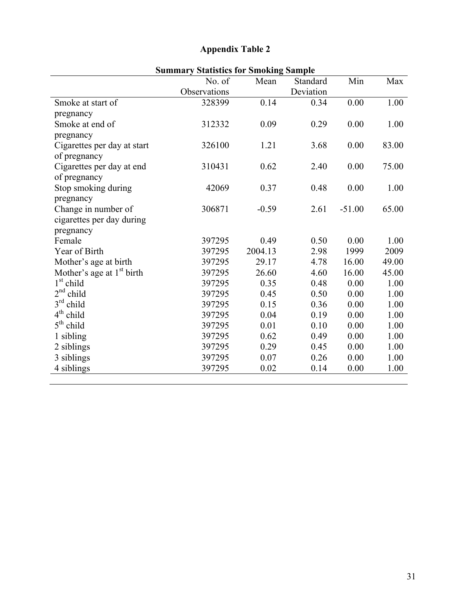## **Appendix Table 2**

| Summary Statistics for Smoking Sample |              |         |           |          |       |  |  |
|---------------------------------------|--------------|---------|-----------|----------|-------|--|--|
|                                       | No. of       | Mean    | Standard  | Min      | Max   |  |  |
|                                       | Observations |         | Deviation |          |       |  |  |
| Smoke at start of                     | 328399       | 0.14    | 0.34      | 0.00     | 1.00  |  |  |
| pregnancy                             |              |         |           |          |       |  |  |
| Smoke at end of                       | 312332       | 0.09    | 0.29      | 0.00     | 1.00  |  |  |
| pregnancy                             |              |         |           |          |       |  |  |
| Cigarettes per day at start           | 326100       | 1.21    | 3.68      | 0.00     | 83.00 |  |  |
| of pregnancy                          |              |         |           |          |       |  |  |
| Cigarettes per day at end             | 310431       | 0.62    | 2.40      | 0.00     | 75.00 |  |  |
| of pregnancy                          |              |         |           |          |       |  |  |
| Stop smoking during                   | 42069        | 0.37    | 0.48      | 0.00     | 1.00  |  |  |
| pregnancy                             |              |         |           |          |       |  |  |
| Change in number of                   | 306871       | $-0.59$ | 2.61      | $-51.00$ | 65.00 |  |  |
| cigarettes per day during             |              |         |           |          |       |  |  |
| pregnancy                             |              |         |           |          |       |  |  |
| Female                                | 397295       | 0.49    | 0.50      | 0.00     | 1.00  |  |  |
| Year of Birth                         | 397295       | 2004.13 | 2.98      | 1999     | 2009  |  |  |
| Mother's age at birth                 | 397295       | 29.17   | 4.78      | 16.00    | 49.00 |  |  |
| Mother's age at $1st$ birth           | 397295       | 26.60   | 4.60      | 16.00    | 45.00 |  |  |
| $1st$ child                           | 397295       | 0.35    | 0.48      | 0.00     | 1.00  |  |  |
| $2nd$ child                           | 397295       | 0.45    | 0.50      | 0.00     | 1.00  |  |  |
| $3rd$ child                           | 397295       | 0.15    | 0.36      | 0.00     | 1.00  |  |  |
| $4th$ child                           | 397295       | 0.04    | 0.19      | 0.00     | 1.00  |  |  |
| $5th$ child                           | 397295       | 0.01    | 0.10      | 0.00     | 1.00  |  |  |
| 1 sibling                             | 397295       | 0.62    | 0.49      | 0.00     | 1.00  |  |  |
| 2 siblings                            | 397295       | 0.29    | 0.45      | 0.00     | 1.00  |  |  |
| 3 siblings                            | 397295       | 0.07    | 0.26      | 0.00     | 1.00  |  |  |
| 4 siblings                            | 397295       | 0.02    | 0.14      | 0.00     | 1.00  |  |  |